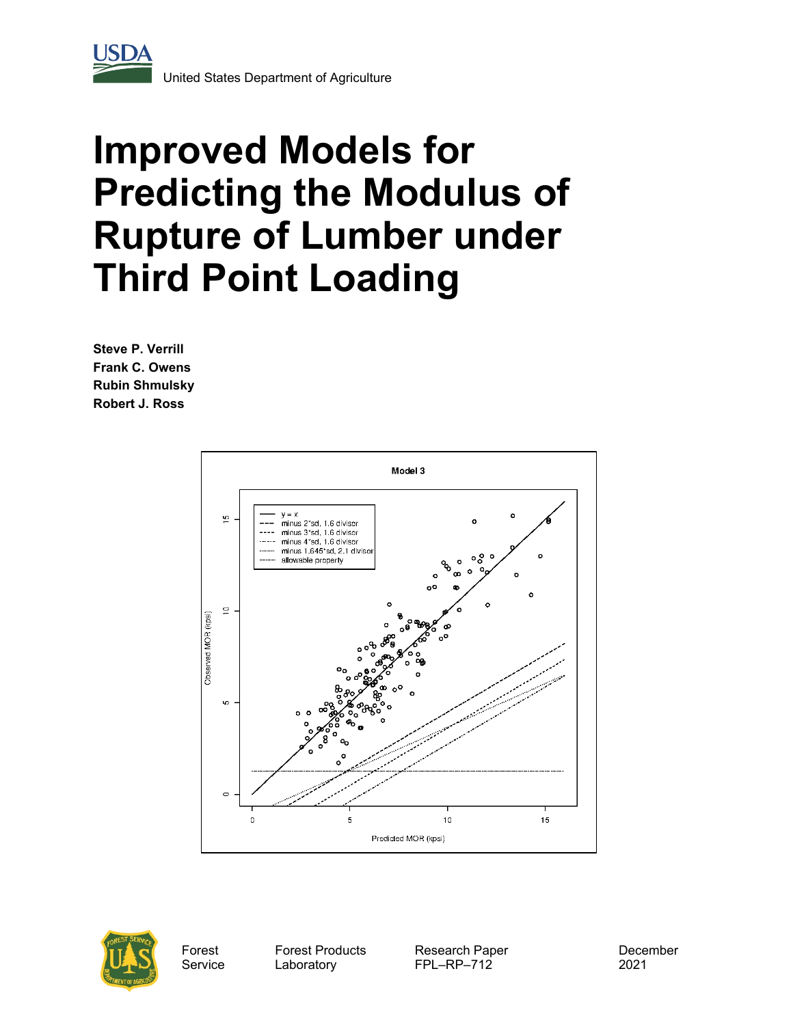

# **Improved Models for Predicting the Modulus of Rupture of Lumber under Third Point Loading**

**Steve P. Verrill Frank C. Owens Rubin Shmulsky Robert J. Ross**





Forest Service Forest Products Laboratory

Research Paper FPL–RP–712

December 2021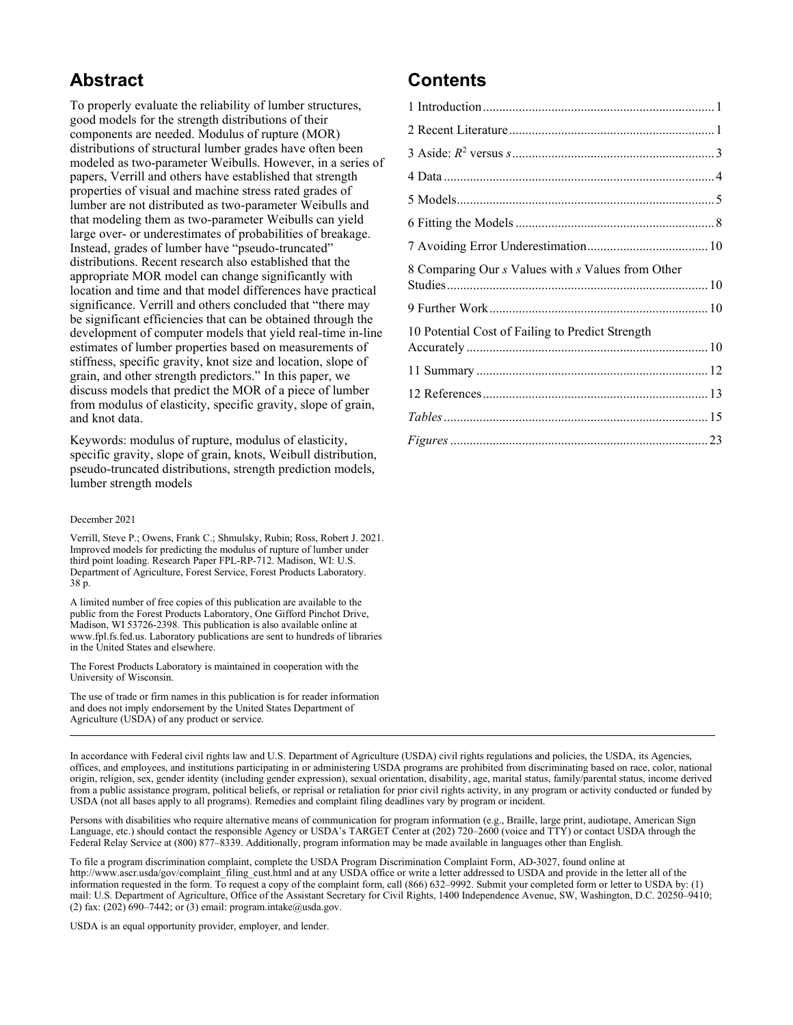## **Abstract**

To properly evaluate the reliability of lumber structures, good models for the strength distributions of their components are needed. Modulus of rupture (MOR) distributions of structural lumber grades have often been modeled as two-parameter Weibulls. However, in a series of papers, Verrill and others have established that strength properties of visual and machine stress rated grades of lumber are not distributed as two-parameter Weibulls and that modeling them as two-parameter Weibulls can yield large over- or underestimates of probabilities of breakage. Instead, grades of lumber have "pseudo-truncated" distributions. Recent research also established that the appropriate MOR model can change significantly with location and time and that model differences have practical significance. Verrill and others concluded that "there may be significant efficiencies that can be obtained through the development of computer models that yield real-time in-line estimates of lumber properties based on measurements of stiffness, specific gravity, knot size and location, slope of grain, and other strength predictors." In this paper, we discuss models that predict the MOR of a piece of lumber from modulus of elasticity, specific gravity, slope of grain, and knot data.

Keywords: modulus of rupture, modulus of elasticity, specific gravity, slope of grain, knots, Weibull distribution, pseudo-truncated distributions, strength prediction models, lumber strength models

#### December 2021

Verrill, Steve P.; Owens, Frank C.; Shmulsky, Rubin; Ross, Robert J. 2021. Improved models for predicting the modulus of rupture of lumber under third point loading. Research Paper FPL-RP-712. Madison, WI: U.S. Department of Agriculture, Forest Service, Forest Products Laboratory. 38 p.

A limited number of free copies of this publication are available to the public from the Forest Products Laboratory, One Gifford Pinchot Drive, Madison, WI 53726-2398. This publication is also available online at [www.fpl.fs.fed.us.](http://www.fpl.fs.fed.us/) Laboratory publications are sent to hundreds of libraries in the United States and elsewhere.

The Forest Products Laboratory is maintained in cooperation with the University of Wisconsin.

The use of trade or firm names in this publication is for reader information and does not imply endorsement by the United States Department of Agriculture (USDA) of any product or service.

# **Contents**

| 8 Comparing Our s Values with s Values from Other |  |
|---------------------------------------------------|--|
|                                                   |  |
| 10 Potential Cost of Failing to Predict Strength  |  |
|                                                   |  |
|                                                   |  |
|                                                   |  |
|                                                   |  |

In accordance with Federal civil rights law and U.S. Department of Agriculture (USDA) civil rights regulations and policies, the USDA, its Agencies, offices, and employees, and institutions participating in or administering USDA programs are prohibited from discriminating based on race, color, national origin, religion, sex, gender identity (including gender expression), sexual orientation, disability, age, marital status, family/parental status, income derived from a public assistance program, political beliefs, or reprisal or retaliation for prior civil rights activity, in any program or activity conducted or funded by USDA (not all bases apply to all programs). Remedies and complaint filing deadlines vary by program or incident.

Persons with disabilities who require alternative means of communication for program information (e.g., Braille, large print, audiotape, American Sign Language, etc.) should contact the responsible Agency or USDA's TARGET Center at (202) 720–2600 (voice and TTY) or contact USDA through the Federal Relay Service at (800) 877–8339. Additionally, program information may be made available in languages other than English.

To file a program discrimination complaint, complete the USDA Program Discrimination Complaint Form, AD-3027, found online at [http://www.ascr.usda/gov/complaint\\_filing\\_cust.html](http://www.ascr.usda/gov/complaint_filing_cust.html) and at any USDA office or write a letter addressed to USDA and provide in the letter all of the information requested in the form. To request a copy of the complaint form, call (866) 632–9992. Submit your completed form or letter to USDA by: (1) mail: U.S. Department of Agriculture, Office of the Assistant Secretary for Civil Rights, 1400 Independence Avenue, SW, Washington, D.C. 20250–9410; (2) fax: (202) 690–7442; or (3) email[: program.intake@usda.gov.](mailto:program.intake@usda.gov)

USDA is an equal opportunity provider, employer, and lender.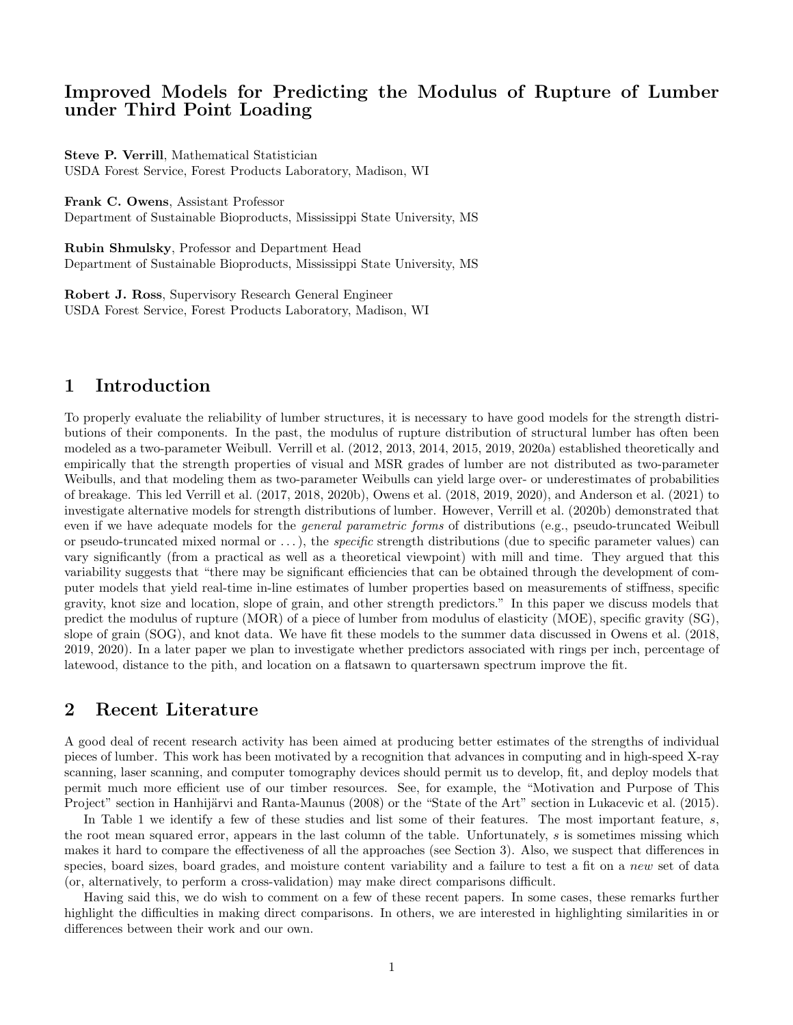## Improved Models for Predicting the Modulus of Rupture of Lumber under Third Point Loading

Steve P. Verrill, Mathematical Statistician USDA Forest Service, Forest Products Laboratory, Madison, WI

Frank C. Owens, Assistant Professor

Department of Sustainable Bioproducts, Mississippi State University, MS

Rubin Shmulsky, Professor and Department Head Department of Sustainable Bioproducts, Mississippi State University, MS

Robert J. Ross, Supervisory Research General Engineer USDA Forest Service, Forest Products Laboratory, Madison, WI

## 1 Introduction

To properly evaluate the reliability of lumber structures, it is necessary to have good models for the strength distributions of their components. In the past, the modulus of rupture distribution of structural lumber has often been modeled as a two-parameter Weibull. Verrill et al. (2012, 2013, 2014, 2015, 2019, 2020a) established theoretically and empirically that the strength properties of visual and MSR grades of lumber are not distributed as two-parameter Weibulls, and that modeling them as two-parameter Weibulls can yield large over- or underestimates of probabilities of breakage. This led Verrill et al. (2017, 2018, 2020b), Owens et al. (2018, 2019, 2020), and Anderson et al. (2021) to investigate alternative models for strength distributions of lumber. However, Verrill et al. (2020b) demonstrated that even if we have adequate models for the *general parametric forms* of distributions (e.g., pseudo-truncated Weibull or pseudo-truncated mixed normal or  $\dots$ ), the *specific* strength distributions (due to specific parameter values) can vary significantly (from a practical as well as a theoretical viewpoint) with mill and time. They argued that this variability suggests that "there may be significant efficiencies that can be obtained through the development of computer models that yield real-time in-line estimates of lumber properties based on measurements of stiffness, specific gravity, knot size and location, slope of grain, and other strength predictors." In this paper we discuss models that predict the modulus of rupture (MOR) of a piece of lumber from modulus of elasticity (MOE), specific gravity (SG), slope of grain (SOG), and knot data. We have fit these models to the summer data discussed in Owens et al. (2018, 2019, 2020). In a later paper we plan to investigate whether predictors associated with rings per inch, percentage of latewood, distance to the pith, and location on a flatsawn to quartersawn spectrum improve the fit.

## 2 Recent Literature

A good deal of recent research activity has been aimed at producing better estimates of the strengths of individual pieces of lumber. This work has been motivated by a recognition that advances in computing and in high-speed X-ray scanning, laser scanning, and computer tomography devices should permit us to develop, fit, and deploy models that permit much more efficient use of our timber resources. See, for example, the "Motivation and Purpose of This Project" section in Hanhijärvi and Ranta-Maunus (2008) or the "State of the Art" section in Lukacevic et al. (2015).

In Table 1 we identify a few of these studies and list some of their features. The most important feature, s, the root mean squared error, appears in the last column of the table. Unfortunately, s is sometimes missing which makes it hard to compare the effectiveness of all the approaches (see Section 3). Also, we suspect that differences in species, board sizes, board grades, and moisture content variability and a failure to test a fit on a new set of data (or, alternatively, to perform a cross-validation) may make direct comparisons difficult.

Having said this, we do wish to comment on a few of these recent papers. In some cases, these remarks further highlight the difficulties in making direct comparisons. In others, we are interested in highlighting similarities in or differences between their work and our own.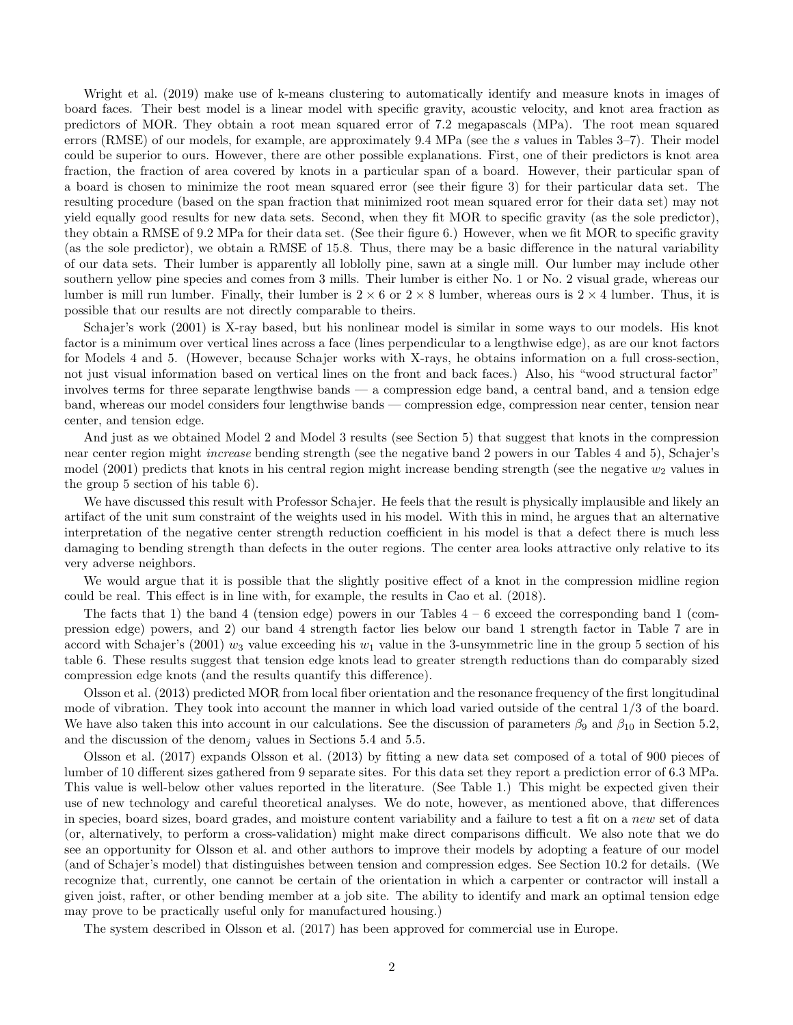Wright et al. (2019) make use of k-means clustering to automatically identify and measure knots in images of board faces. Their best model is a linear model with specific gravity, acoustic velocity, and knot area fraction as predictors of MOR. They obtain a root mean squared error of 7.2 megapascals (MPa). The root mean squared errors (RMSE) of our models, for example, are approximately 9.4 MPa (see the s values in Tables 3–7). Their model could be superior to ours. However, there are other possible explanations. First, one of their predictors is knot area fraction, the fraction of area covered by knots in a particular span of a board. However, their particular span of a board is chosen to minimize the root mean squared error (see their figure 3) for their particular data set. The resulting procedure (based on the span fraction that minimized root mean squared error for their data set) may not yield equally good results for new data sets. Second, when they fit MOR to specific gravity (as the sole predictor), they obtain a RMSE of 9.2 MPa for their data set. (See their figure 6.) However, when we fit MOR to specific gravity (as the sole predictor), we obtain a RMSE of 15.8. Thus, there may be a basic difference in the natural variability of our data sets. Their lumber is apparently all loblolly pine, sawn at a single mill. Our lumber may include other southern yellow pine species and comes from 3 mills. Their lumber is either No. 1 or No. 2 visual grade, whereas our lumber is mill run lumber. Finally, their lumber is  $2 \times 6$  or  $2 \times 8$  lumber, whereas ours is  $2 \times 4$  lumber. Thus, it is possible that our results are not directly comparable to theirs.

Schajer's work (2001) is X-ray based, but his nonlinear model is similar in some ways to our models. His knot factor is a minimum over vertical lines across a face (lines perpendicular to a lengthwise edge), as are our knot factors for Models 4 and 5. (However, because Schajer works with X-rays, he obtains information on a full cross-section, not just visual information based on vertical lines on the front and back faces.) Also, his "wood structural factor" involves terms for three separate lengthwise bands — a compression edge band, a central band, and a tension edge band, whereas our model considers four lengthwise bands — compression edge, compression near center, tension near center, and tension edge.

And just as we obtained Model 2 and Model 3 results (see Section 5) that suggest that knots in the compression near center region might increase bending strength (see the negative band 2 powers in our Tables 4 and 5), Schajer's model (2001) predicts that knots in his central region might increase bending strength (see the negative  $w_2$  values in the group 5 section of his table 6).

We have discussed this result with Professor Schajer. He feels that the result is physically implausible and likely an artifact of the unit sum constraint of the weights used in his model. With this in mind, he argues that an alternative interpretation of the negative center strength reduction coefficient in his model is that a defect there is much less damaging to bending strength than defects in the outer regions. The center area looks attractive only relative to its very adverse neighbors.

We would argue that it is possible that the slightly positive effect of a knot in the compression midline region could be real. This effect is in line with, for example, the results in Cao et al. (2018).

The facts that 1) the band 4 (tension edge) powers in our Tables  $4-6$  exceed the corresponding band 1 (compression edge) powers, and 2) our band 4 strength factor lies below our band 1 strength factor in Table 7 are in accord with Schajer's (2001)  $w_3$  value exceeding his  $w_1$  value in the 3-unsymmetric line in the group 5 section of his table 6. These results suggest that tension edge knots lead to greater strength reductions than do comparably sized compression edge knots (and the results quantify this difference).

Olsson et al. (2013) predicted MOR from local fiber orientation and the resonance frequency of the first longitudinal mode of vibration. They took into account the manner in which load varied outside of the central 1/3 of the board. We have also taken this into account in our calculations. See the discussion of parameters  $\beta_9$  and  $\beta_{10}$  in Section 5.2, and the discussion of the denom<sub>j</sub> values in Sections 5.4 and 5.5.

Olsson et al. (2017) expands Olsson et al. (2013) by fitting a new data set composed of a total of 900 pieces of lumber of 10 different sizes gathered from 9 separate sites. For this data set they report a prediction error of 6.3 MPa. This value is well-below other values reported in the literature. (See Table 1.) This might be expected given their use of new technology and careful theoretical analyses. We do note, however, as mentioned above, that differences in species, board sizes, board grades, and moisture content variability and a failure to test a fit on a new set of data (or, alternatively, to perform a cross-validation) might make direct comparisons difficult. We also note that we do see an opportunity for Olsson et al. and other authors to improve their models by adopting a feature of our model (and of Schajer's model) that distinguishes between tension and compression edges. See Section 10.2 for details. (We recognize that, currently, one cannot be certain of the orientation in which a carpenter or contractor will install a given joist, rafter, or other bending member at a job site. The ability to identify and mark an optimal tension edge may prove to be practically useful only for manufactured housing.)

The system described in Olsson et al. (2017) has been approved for commercial use in Europe.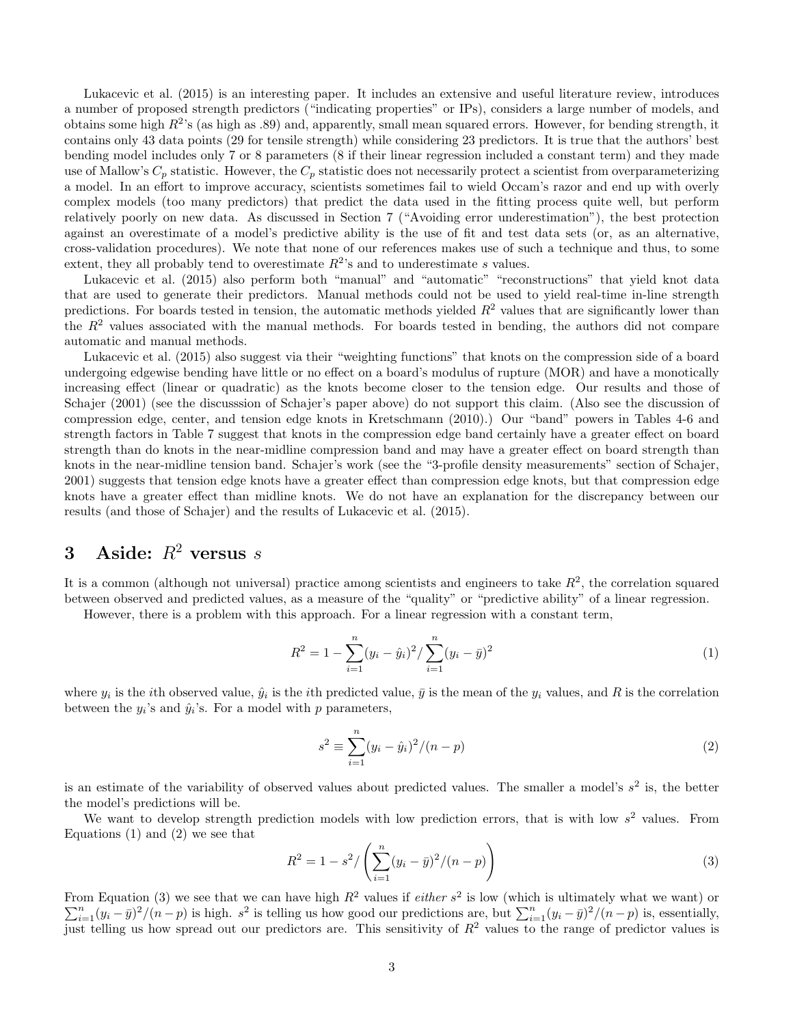Lukacevic et al. (2015) is an interesting paper. It includes an extensive and useful literature review, introduces a number of proposed strength predictors ("indicating properties" or IPs), considers a large number of models, and obtains some high  $R^2$ 's (as high as .89) and, apparently, small mean squared errors. However, for bending strength, it contains only 43 data points (29 for tensile strength) while considering 23 predictors. It is true that the authors' best bending model includes only 7 or 8 parameters (8 if their linear regression included a constant term) and they made use of Mallow's  $C_p$  statistic. However, the  $C_p$  statistic does not necessarily protect a scientist from overparameterizing a model. In an effort to improve accuracy, scientists sometimes fail to wield Occam's razor and end up with overly complex models (too many predictors) that predict the data used in the fitting process quite well, but perform relatively poorly on new data. As discussed in Section 7 ("Avoiding error underestimation"), the best protection against an overestimate of a model's predictive ability is the use of fit and test data sets (or, as an alternative, cross-validation procedures). We note that none of our references makes use of such a technique and thus, to some extent, they all probably tend to overestimate  $R^2$ 's and to underestimate s values.

Lukacevic et al. (2015) also perform both "manual" and "automatic" "reconstructions" that yield knot data that are used to generate their predictors. Manual methods could not be used to yield real-time in-line strength predictions. For boards tested in tension, the automatic methods yielded  $R<sup>2</sup>$  values that are significantly lower than the  $R<sup>2</sup>$  values associated with the manual methods. For boards tested in bending, the authors did not compare automatic and manual methods.

Lukacevic et al. (2015) also suggest via their "weighting functions" that knots on the compression side of a board undergoing edgewise bending have little or no effect on a board's modulus of rupture (MOR) and have a monotically increasing effect (linear or quadratic) as the knots become closer to the tension edge. Our results and those of Schajer (2001) (see the discusssion of Schajer's paper above) do not support this claim. (Also see the discussion of compression edge, center, and tension edge knots in Kretschmann (2010).) Our "band" powers in Tables 4-6 and strength factors in Table 7 suggest that knots in the compression edge band certainly have a greater effect on board strength than do knots in the near-midline compression band and may have a greater effect on board strength than knots in the near-midline tension band. Schajer's work (see the "3-profile density measurements" section of Schajer, 2001) suggests that tension edge knots have a greater effect than compression edge knots, but that compression edge knots have a greater effect than midline knots. We do not have an explanation for the discrepancy between our results (and those of Schajer) and the results of Lukacevic et al. (2015).

# 3 Aside:  $R^2$  versus s

It is a common (although not universal) practice among scientists and engineers to take  $R^2$ , the correlation squared between observed and predicted values, as a measure of the "quality" or "predictive ability" of a linear regression.

However, there is a problem with this approach. For a linear regression with a constant term,

$$
R^{2} = 1 - \sum_{i=1}^{n} (y_{i} - \hat{y}_{i})^{2} / \sum_{i=1}^{n} (y_{i} - \bar{y})^{2}
$$
 (1)

where  $y_i$  is the *i*th observed value,  $\hat{y}_i$  is the *i*th predicted value,  $\bar{y}$  is the mean of the  $y_i$  values, and R is the correlation between the  $y_i$ 's and  $\hat{y}_i$ 's. For a model with p parameters,

$$
s^{2} \equiv \sum_{i=1}^{n} (y_{i} - \hat{y}_{i})^{2} / (n - p)
$$
 (2)

is an estimate of the variability of observed values about predicted values. The smaller a model's  $s^2$  is, the better the model's predictions will be.

We want to develop strength prediction models with low prediction errors, that is with low  $s^2$  values. From Equations  $(1)$  and  $(2)$  we see that

$$
R^{2} = 1 - s^{2} / \left( \sum_{i=1}^{n} (y_{i} - \bar{y})^{2} / (n - p) \right)
$$
 (3)

From Equation (3) we see that we can have high  $R^2$  values if *either*  $s^2$  $\sum$ om Equation (3) we see that we can have high  $R^2$  values if *either*  $s^2$  is low (which is ultimately what we want) or  $\int_{i=1}^n (y_i - \bar{y})^2 / (n - p)$  is, essentially,  $s^2$  is telling us how good our predictions are, but just telling us how spread out our predictors are. This sensitivity of  $R^2$  values to the range of predictor values is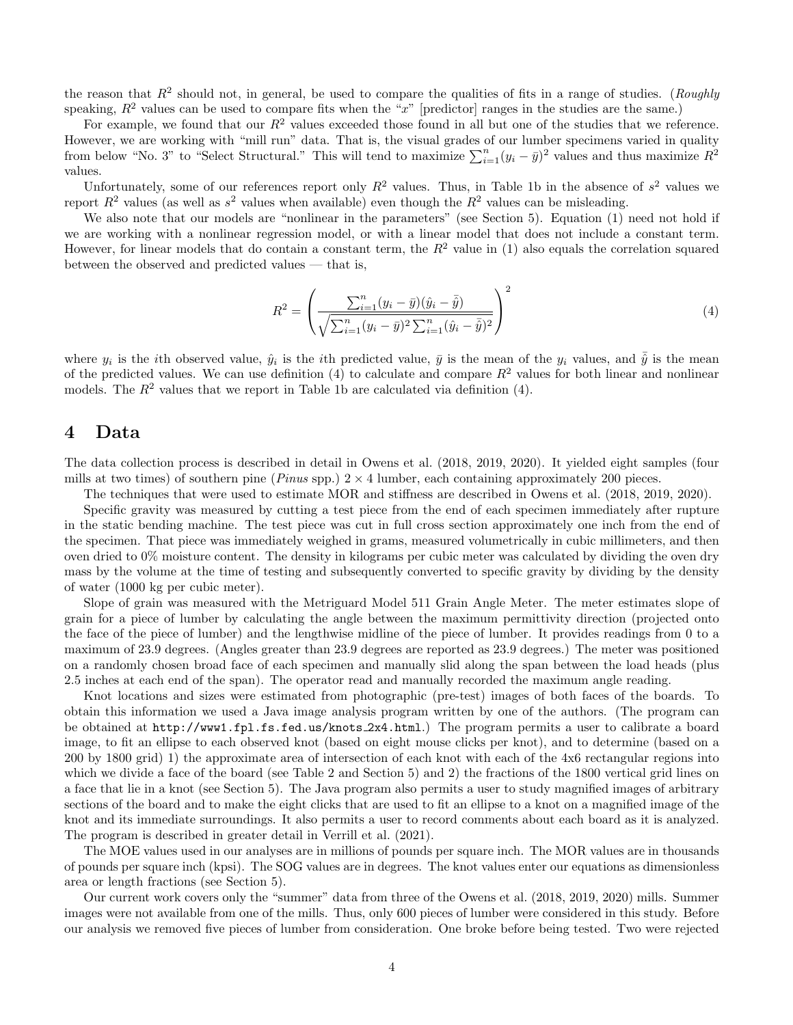the reason that  $R^2$  should not, in general, be used to compare the qualities of fits in a range of studies. (*Roughly* speaking,  $R^2$  values can be used to compare fits when the "x" [predictor] ranges in the studies are the same.)

For example, we found that our  $R^2$  values exceeded those found in all but one of the studies that we reference. However, we are working with "mill run" data. That is, the visual grades of our lumber specimens varied in quality from below "No. 3" to "Select Structural." This will tend to maximize  $\sum_{i=1}^{n}(y_i - \bar{y})^2$  values and thus maximize  $R^2$ values.

Unfortunately, some of our references report only  $R^2$  values. Thus, in Table 1b in the absence of  $s^2$  values we report  $R^2$  values (as well as  $s^2$  values when available) even though the  $R^2$  values can be misleading.

We also note that our models are "nonlinear in the parameters" (see Section 5). Equation (1) need not hold if we are working with a nonlinear regression model, or with a linear model that does not include a constant term. However, for linear models that do contain a constant term, the  $R^2$  value in (1) also equals the correlation squared between the observed and predicted values — that is,

$$
R^{2} = \left(\frac{\sum_{i=1}^{n} (y_{i} - \bar{y})(\hat{y}_{i} - \bar{\hat{y}})}{\sqrt{\sum_{i=1}^{n} (y_{i} - \bar{y})^{2} \sum_{i=1}^{n} (\hat{y}_{i} - \bar{\hat{y}})^{2}}}\right)^{2}
$$
(4)

where  $y_i$  is the *i*th observed value,  $\hat{y}_i$  is the *i*th predicted value,  $\bar{y}$  is the mean of the  $y_i$  values, and  $\bar{\hat{y}}$  is the mean of the predicted values. We can use definition (4) to calculate and compare  $R^2$  values for both linear and nonlinear models. The  $R^2$  values that we report in Table 1b are calculated via definition (4).

#### 4 Data

The data collection process is described in detail in Owens et al. (2018, 2019, 2020). It yielded eight samples (four mills at two times) of southern pine (*Pinus* spp.)  $2 \times 4$  lumber, each containing approximately 200 pieces.

The techniques that were used to estimate MOR and stiffness are described in Owens et al. (2018, 2019, 2020).

Specific gravity was measured by cutting a test piece from the end of each specimen immediately after rupture in the static bending machine. The test piece was cut in full cross section approximately one inch from the end of the specimen. That piece was immediately weighed in grams, measured volumetrically in cubic millimeters, and then oven dried to 0% moisture content. The density in kilograms per cubic meter was calculated by dividing the oven dry mass by the volume at the time of testing and subsequently converted to specific gravity by dividing by the density of water (1000 kg per cubic meter).

Slope of grain was measured with the Metriguard Model 511 Grain Angle Meter. The meter estimates slope of grain for a piece of lumber by calculating the angle between the maximum permittivity direction (projected onto the face of the piece of lumber) and the lengthwise midline of the piece of lumber. It provides readings from 0 to a maximum of 23.9 degrees. (Angles greater than 23.9 degrees are reported as 23.9 degrees.) The meter was positioned on a randomly chosen broad face of each specimen and manually slid along the span between the load heads (plus 2.5 inches at each end of the span). The operator read and manually recorded the maximum angle reading.

Knot locations and sizes were estimated from photographic (pre-test) images of both faces of the boards. To obtain this information we used a Java image analysis program written by one of the authors. (The program can be obtained at http://www1.fpl.fs.fed.us/knots 2x4.html.) The program permits a user to calibrate a board image, to fit an ellipse to each observed knot (based on eight mouse clicks per knot), and to determine (based on a 200 by 1800 grid) 1) the approximate area of intersection of each knot with each of the 4x6 rectangular regions into which we divide a face of the board (see Table 2 and Section 5) and 2) the fractions of the 1800 vertical grid lines on a face that lie in a knot (see Section 5). The Java program also permits a user to study magnified images of arbitrary sections of the board and to make the eight clicks that are used to fit an ellipse to a knot on a magnified image of the knot and its immediate surroundings. It also permits a user to record comments about each board as it is analyzed. The program is described in greater detail in Verrill et al. (2021).

The MOE values used in our analyses are in millions of pounds per square inch. The MOR values are in thousands of pounds per square inch (kpsi). The SOG values are in degrees. The knot values enter our equations as dimensionless area or length fractions (see Section 5).

Our current work covers only the "summer" data from three of the Owens et al. (2018, 2019, 2020) mills. Summer images were not available from one of the mills. Thus, only 600 pieces of lumber were considered in this study. Before our analysis we removed five pieces of lumber from consideration. One broke before being tested. Two were rejected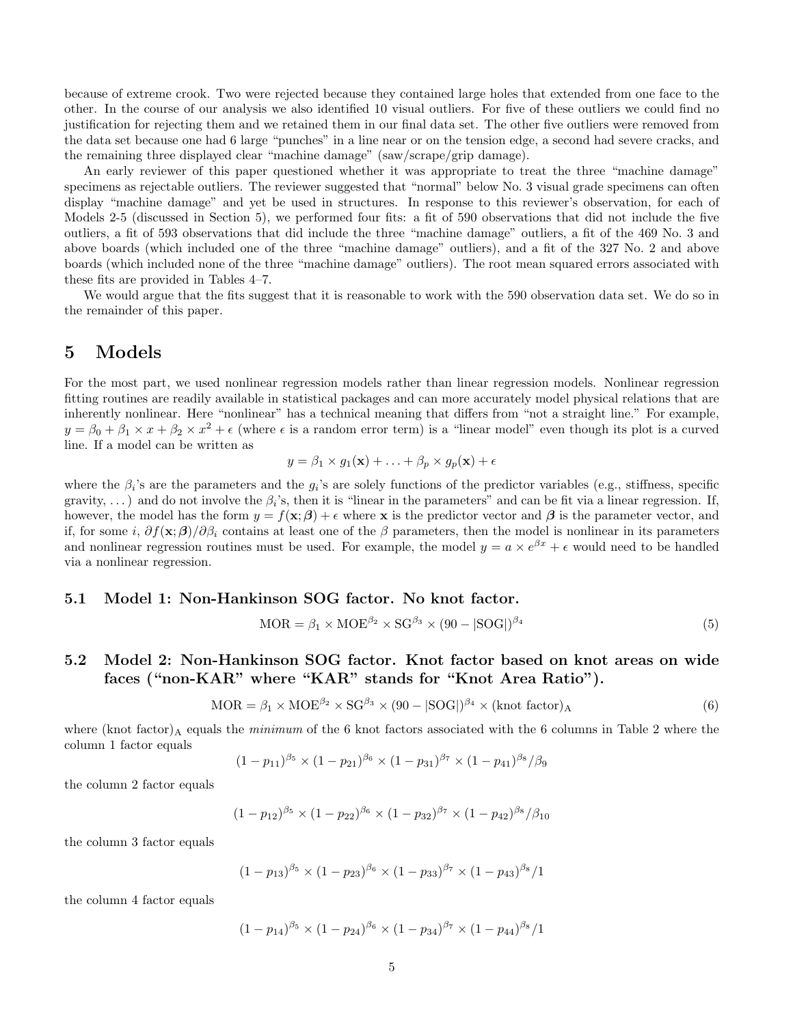because of extreme crook. Two were rejected because they contained large holes that extended from one face to the other. In the course of our analysis we also identified 10 visual outliers. For five of these outliers we could find no justification for rejecting them and we retained them in our final data set. The other five outliers were removed from the data set because one had 6 large "punches" in a line near or on the tension edge, a second had severe cracks, and the remaining three displayed clear "machine damage" (saw/scrape/grip damage).

An early reviewer of this paper questioned whether it was appropriate to treat the three "machine damage" specimens as rejectable outliers. The reviewer suggested that "normal" below No. 3 visual grade specimens can often display "machine damage" and yet be used in structures. In response to this reviewer's observation, for each of Models 2-5 (discussed in Section 5), we performed four fits: a fit of 590 observations that did not include the five outliers, a fit of 593 observations that did include the three "machine damage" outliers, a fit of the 469 No. 3 and above boards (which included one of the three "machine damage" outliers), and a fit of the 327 No. 2 and above boards (which included none of the three "machine damage" outliers). The root mean squared errors associated with these fits are provided in Tables 4–7.

We would argue that the fits suggest that it is reasonable to work with the 590 observation data set. We do so in the remainder of this paper.

## 5 Models

For the most part, we used nonlinear regression models rather than linear regression models. Nonlinear regression fitting routines are readily available in statistical packages and can more accurately model physical relations that are inherently nonlinear. Here "nonlinear" has a technical meaning that differs from "not a straight line." For example,  $y = \beta_0 + \beta_1 \times x + \beta_2 \times x^2 + \epsilon$  (where  $\epsilon$  is a random error term) is a "linear model" even though its plot is a curved line. If a model can be written as

$$
y = \beta_1 \times g_1(\mathbf{x}) + \ldots + \beta_p \times g_p(\mathbf{x}) + \epsilon
$$

where the  $\beta_i$ 's are the parameters and the  $g_i$ 's are solely functions of the predictor variables (e.g., stiffness, specific gravity, ...) and do not involve the  $\beta_i$ 's, then it is "linear in the parameters" and can be fit via a linear regression. If, however, the model has the form  $y = f(x; \beta) + \epsilon$  where x is the predictor vector and  $\beta$  is the parameter vector, and if, for some i,  $\partial f(\mathbf{x}; \boldsymbol{\beta})/\partial \beta_i$  contains at least one of the  $\beta$  parameters, then the model is nonlinear in its parameters and nonlinear regression routines must be used. For example, the model  $y = a \times e^{\beta x} + \epsilon$  would need to be handled via a nonlinear regression.

#### 5.1 Model 1: Non-Hankinson SOG factor. No knot factor.

$$
MOR = \beta_1 \times MOE^{\beta_2} \times SG^{\beta_3} \times (90 - |SOG|)^{\beta_4}
$$
\n(5)

## 5.2 Model 2: Non-Hankinson SOG factor. Knot factor based on knot areas on wide faces ("non-KAR" where "KAR" stands for "Knot Area Ratio").

$$
MOR = \beta_1 \times MOE^{\beta_2} \times SG^{\beta_3} \times (90 - |SOG|)^{\beta_4} \times (knot factor)_A
$$
\n(6)

where (knot factor)<sub>A</sub> equals the *minimum* of the 6 knot factors associated with the 6 columns in Table 2 where the column 1 factor equals

$$
(1-p_{11})^{\beta_5} \times (1-p_{21})^{\beta_6} \times (1-p_{31})^{\beta_7} \times (1-p_{41})^{\beta_8}/\beta_9
$$

the column 2 factor equals

$$
(1 - p_{12})^{\beta_5} \times (1 - p_{22})^{\beta_6} \times (1 - p_{32})^{\beta_7} \times (1 - p_{42})^{\beta_8} / \beta_{10}
$$

the column 3 factor equals

$$
(1-p_{13})^{\beta_5} \times (1-p_{23})^{\beta_6} \times (1-p_{33})^{\beta_7} \times (1-p_{43})^{\beta_8}/1
$$

the column 4 factor equals

$$
(1 - p_{14})^{\beta_5} \times (1 - p_{24})^{\beta_6} \times (1 - p_{34})^{\beta_7} \times (1 - p_{44})^{\beta_8} / 1
$$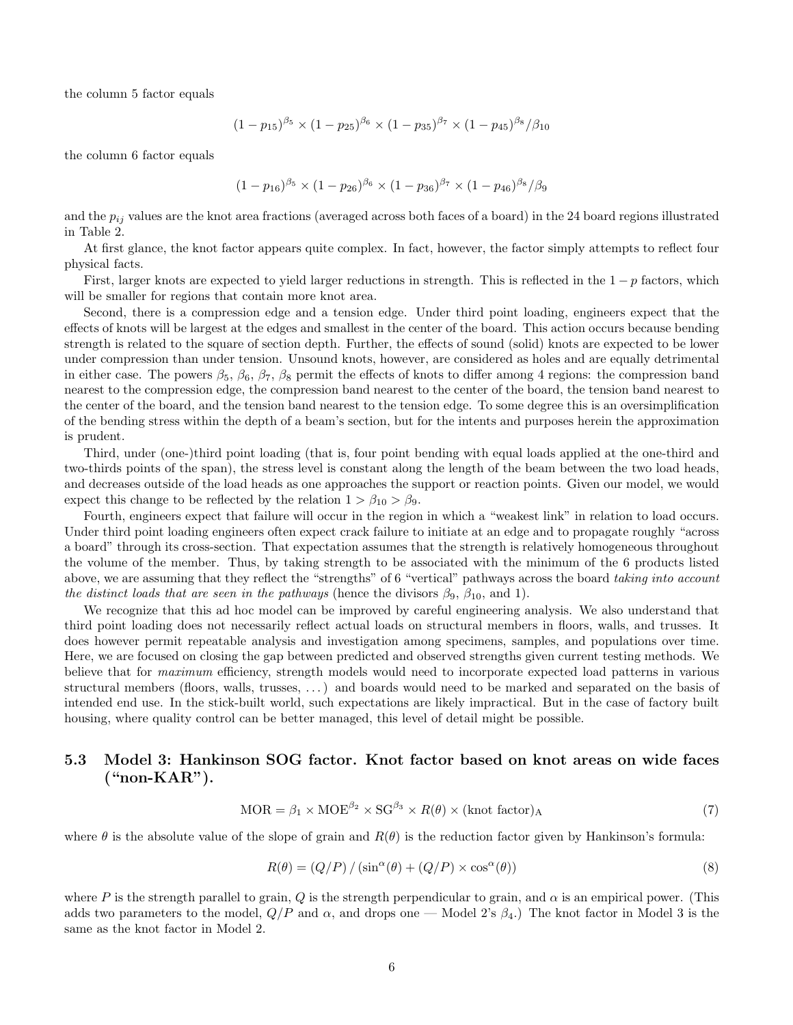the column 5 factor equals

$$
(1 - p_{15})^{\beta_5} \times (1 - p_{25})^{\beta_6} \times (1 - p_{35})^{\beta_7} \times (1 - p_{45})^{\beta_8} / \beta_{10}
$$

the column 6 factor equals

$$
(1 - p_{16})^{\beta_5} \times (1 - p_{26})^{\beta_6} \times (1 - p_{36})^{\beta_7} \times (1 - p_{46})^{\beta_8} / \beta_9
$$

and the  $p_{ij}$  values are the knot area fractions (averaged across both faces of a board) in the 24 board regions illustrated in Table 2.

At first glance, the knot factor appears quite complex. In fact, however, the factor simply attempts to reflect four physical facts.

First, larger knots are expected to yield larger reductions in strength. This is reflected in the  $1-p$  factors, which will be smaller for regions that contain more knot area.

Second, there is a compression edge and a tension edge. Under third point loading, engineers expect that the effects of knots will be largest at the edges and smallest in the center of the board. This action occurs because bending strength is related to the square of section depth. Further, the effects of sound (solid) knots are expected to be lower under compression than under tension. Unsound knots, however, are considered as holes and are equally detrimental in either case. The powers  $\beta_5$ ,  $\beta_6$ ,  $\beta_7$ ,  $\beta_8$  permit the effects of knots to differ among 4 regions: the compression band nearest to the compression edge, the compression band nearest to the center of the board, the tension band nearest to the center of the board, and the tension band nearest to the tension edge. To some degree this is an oversimplification of the bending stress within the depth of a beam's section, but for the intents and purposes herein the approximation is prudent.

Third, under (one-)third point loading (that is, four point bending with equal loads applied at the one-third and two-thirds points of the span), the stress level is constant along the length of the beam between the two load heads, and decreases outside of the load heads as one approaches the support or reaction points. Given our model, we would expect this change to be reflected by the relation  $1 > \beta_{10} > \beta_9$ .

Fourth, engineers expect that failure will occur in the region in which a "weakest link" in relation to load occurs. Under third point loading engineers often expect crack failure to initiate at an edge and to propagate roughly "across a board" through its cross-section. That expectation assumes that the strength is relatively homogeneous throughout the volume of the member. Thus, by taking strength to be associated with the minimum of the 6 products listed above, we are assuming that they reflect the "strengths" of 6 "vertical" pathways across the board taking into account the distinct loads that are seen in the pathways (hence the divisors  $\beta_9$ ,  $\beta_{10}$ , and 1).

We recognize that this ad hoc model can be improved by careful engineering analysis. We also understand that third point loading does not necessarily reflect actual loads on structural members in floors, walls, and trusses. It does however permit repeatable analysis and investigation among specimens, samples, and populations over time. Here, we are focused on closing the gap between predicted and observed strengths given current testing methods. We believe that for *maximum* efficiency, strength models would need to incorporate expected load patterns in various structural members (floors, walls, trusses, . . . ) and boards would need to be marked and separated on the basis of intended end use. In the stick-built world, such expectations are likely impractical. But in the case of factory built housing, where quality control can be better managed, this level of detail might be possible.

## 5.3 Model 3: Hankinson SOG factor. Knot factor based on knot areas on wide faces ("non-KAR").

$$
MOR = \beta_1 \times MOE^{\beta_2} \times SG^{\beta_3} \times R(\theta) \times (knot factor)_A
$$
\n(7)

where  $\theta$  is the absolute value of the slope of grain and  $R(\theta)$  is the reduction factor given by Hankinson's formula:

$$
R(\theta) = (Q/P) / (\sin^{\alpha}(\theta) + (Q/P) \times \cos^{\alpha}(\theta))
$$
\n(8)

where P is the strength parallel to grain, Q is the strength perpendicular to grain, and  $\alpha$  is an empirical power. (This adds two parameters to the model,  $Q/P$  and  $\alpha$ , and drops one — Model 2's  $\beta_4$ .) The knot factor in Model 3 is the same as the knot factor in Model 2.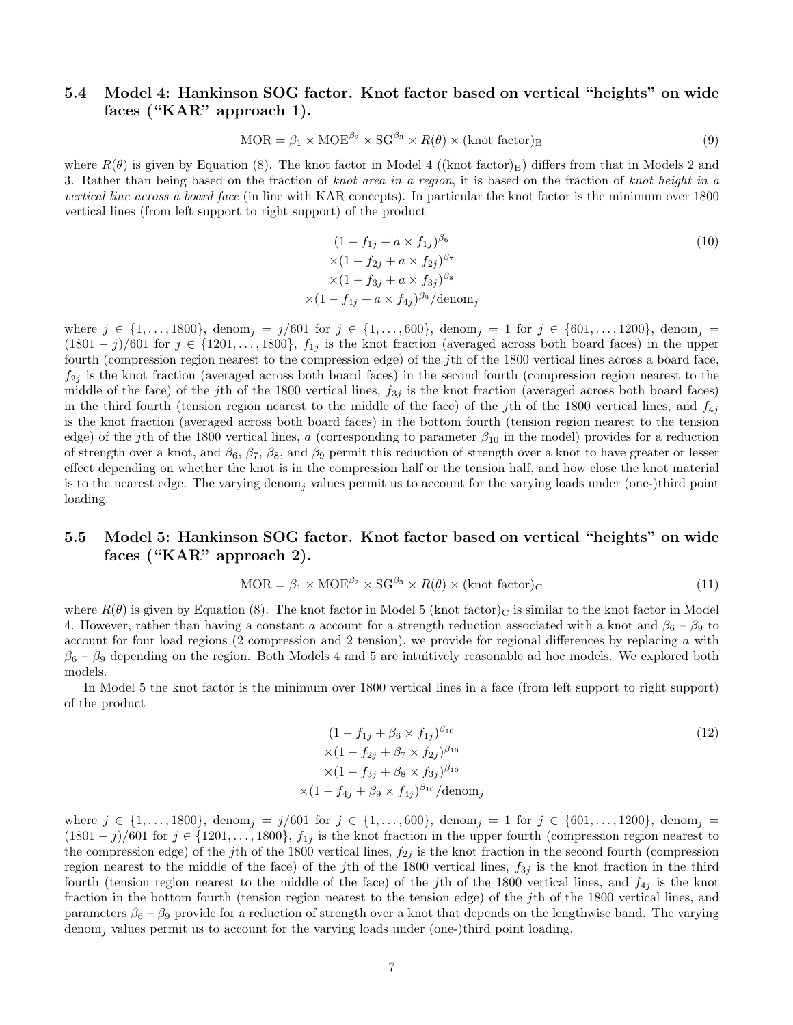## 5.4 Model 4: Hankinson SOG factor. Knot factor based on vertical "heights" on wide faces ("KAR" approach 1).

$$
MOR = \beta_1 \times MOE^{\beta_2} \times SG^{\beta_3} \times R(\theta) \times (knot factor)_B
$$
\n(9)

where  $R(\theta)$  is given by Equation (8). The knot factor in Model 4 ((knot factor)<sub>B</sub>) differs from that in Models 2 and 3. Rather than being based on the fraction of knot area in a region, it is based on the fraction of knot height in a vertical line across a board face (in line with KAR concepts). In particular the knot factor is the minimum over 1800 vertical lines (from left support to right support) of the product

$$
(1 - f_{1j} + a \times f_{1j})^{\beta_6}
$$
  
\n
$$
\times (1 - f_{2j} + a \times f_{2j})^{\beta_7}
$$
  
\n
$$
\times (1 - f_{3j} + a \times f_{3j})^{\beta_8}
$$
  
\n
$$
\times (1 - f_{4j} + a \times f_{4j})^{\beta_9} / \text{denom}_j
$$
  
\n(10)

where  $j \in \{1, \ldots, 1800\}$ , denom<sub>j</sub> = j/601 for  $j \in \{1, \ldots, 600\}$ , denom<sub>j</sub> = 1 for  $j \in \{601, \ldots, 1200\}$ , denom<sub>j</sub> =  $(1801 - j)/601$  for  $j \in \{1201, \ldots, 1800\}, f_{1j}$  is the knot fraction (averaged across both board faces) in the upper fourth (compression region nearest to the compression edge) of the jth of the 1800 vertical lines across a board face,  $f_{2j}$  is the knot fraction (averaged across both board faces) in the second fourth (compression region nearest to the middle of the face) of the jth of the 1800 vertical lines,  $f_{3j}$  is the knot fraction (averaged across both board faces) in the third fourth (tension region nearest to the middle of the face) of the jth of the 1800 vertical lines, and  $f_{4j}$ is the knot fraction (averaged across both board faces) in the bottom fourth (tension region nearest to the tension edge) of the jth of the 1800 vertical lines, a (corresponding to parameter  $\beta_{10}$  in the model) provides for a reduction of strength over a knot, and  $\beta_6$ ,  $\beta_7$ ,  $\beta_8$ , and  $\beta_9$  permit this reduction of strength over a knot to have greater or lesser effect depending on whether the knot is in the compression half or the tension half, and how close the knot material is to the nearest edge. The varying denom<sup>j</sup> values permit us to account for the varying loads under (one-)third point loading.

## 5.5 Model 5: Hankinson SOG factor. Knot factor based on vertical "heights" on wide faces ("KAR" approach 2).

$$
MOR = \beta_1 \times MOE^{\beta_2} \times SG^{\beta_3} \times R(\theta) \times (knot factor)_C
$$
\n(11)

where  $R(\theta)$  is given by Equation (8). The knot factor in Model 5 (knot factor)<sub>C</sub> is similar to the knot factor in Model 4. However, rather than having a constant a account for a strength reduction associated with a knot and  $\beta_6 - \beta_9$  to account for four load regions  $(2 \text{ compression and } 2 \text{ tension})$ , we provide for regional differences by replacing  $a$  with  $\beta_6 - \beta_9$  depending on the region. Both Models 4 and 5 are intuitively reasonable ad hoc models. We explored both models.

In Model 5 the knot factor is the minimum over 1800 vertical lines in a face (from left support to right support) of the product

$$
(1 - f_{1j} + \beta_6 \times f_{1j})^{\beta_{10}} \qquad (12)
$$
  
×(1 - f\_{2j} + \beta\_7 \times f\_{2j})^{\beta\_{10}}  
×(1 - f\_{3j} + \beta\_8 \times f\_{3j})^{\beta\_{10}}  
×(1 - f\_{4j} + \beta\_9 \times f\_{4j})^{\beta\_{10}}/denom\_j

where  $j \in \{1, \ldots, 1800\}$ , denom<sub>j</sub> = j/601 for  $j \in \{1, \ldots, 600\}$ , denom<sub>j</sub> = 1 for  $j \in \{601, \ldots, 1200\}$ , denom<sub>j</sub> =  $(1801 - j)/601$  for  $j \in \{1201, \ldots, 1800\}$ ,  $f_{1j}$  is the knot fraction in the upper fourth (compression region nearest to the compression edge) of the jth of the 1800 vertical lines,  $f_{2j}$  is the knot fraction in the second fourth (compression region nearest to the middle of the face) of the jth of the 1800 vertical lines,  $f_{3j}$  is the knot fraction in the third fourth (tension region nearest to the middle of the face) of the jth of the 1800 vertical lines, and  $f_{4j}$  is the knot fraction in the bottom fourth (tension region nearest to the tension edge) of the jth of the 1800 vertical lines, and parameters  $\beta_6 - \beta_9$  provide for a reduction of strength over a knot that depends on the lengthwise band. The varying denom<sub>j</sub> values permit us to account for the varying loads under (one-)third point loading.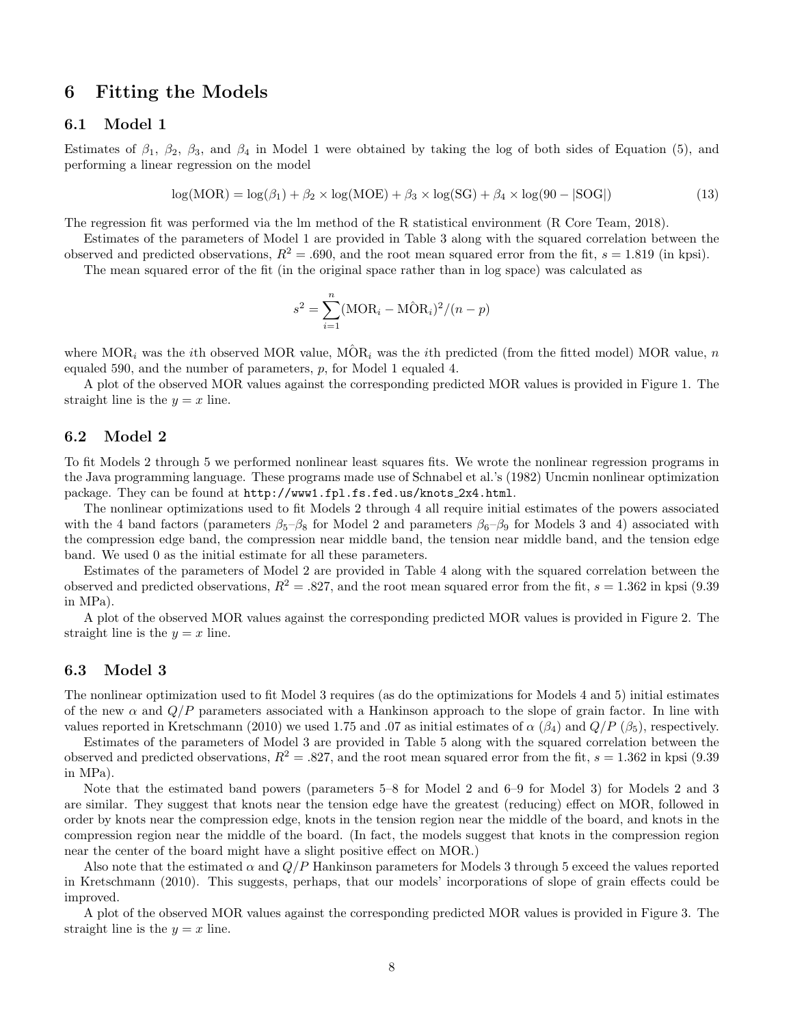## 6 Fitting the Models

#### 6.1 Model 1

Estimates of  $\beta_1$ ,  $\beta_2$ ,  $\beta_3$ , and  $\beta_4$  in Model 1 were obtained by taking the log of both sides of Equation (5), and performing a linear regression on the model

$$
log(MOR) = log(\beta_1) + \beta_2 \times log(MOE) + \beta_3 \times log(SG) + \beta_4 \times log(90 - |SOG|)
$$
\n(13)

The regression fit was performed via the lm method of the R statistical environment (R Core Team, 2018).

Estimates of the parameters of Model 1 are provided in Table 3 along with the squared correlation between the observed and predicted observations,  $R^2 = .690$ , and the root mean squared error from the fit,  $s = 1.819$  (in kpsi).

The mean squared error of the fit (in the original space rather than in log space) was calculated as

$$
s^{2} = \sum_{i=1}^{n} (\text{MOR}_{i} - \text{MOR}_{i})^{2} / (n - p)
$$

where MOR<sub>i</sub> was the *i*th observed MOR value,  $M\hat{O}R_i$  was the *i*th predicted (from the fitted model) MOR value, n equaled 590, and the number of parameters, p, for Model 1 equaled 4.

A plot of the observed MOR values against the corresponding predicted MOR values is provided in Figure 1. The straight line is the  $y = x$  line.

#### 6.2 Model 2

To fit Models 2 through 5 we performed nonlinear least squares fits. We wrote the nonlinear regression programs in the Java programming language. These programs made use of Schnabel et al.'s (1982) Uncmin nonlinear optimization package. They can be found at http://www1.fpl.fs.fed.us/knots 2x4.html.

The nonlinear optimizations used to fit Models 2 through 4 all require initial estimates of the powers associated with the 4 band factors (parameters  $\beta_5-\beta_8$  for Model 2 and parameters  $\beta_6-\beta_9$  for Models 3 and 4) associated with the compression edge band, the compression near middle band, the tension near middle band, and the tension edge band. We used 0 as the initial estimate for all these parameters.

Estimates of the parameters of Model 2 are provided in Table 4 along with the squared correlation between the observed and predicted observations,  $R^2 = .827$ , and the root mean squared error from the fit,  $s = 1.362$  in kpsi (9.39) in MPa).

A plot of the observed MOR values against the corresponding predicted MOR values is provided in Figure 2. The straight line is the  $y = x$  line.

#### 6.3 Model 3

The nonlinear optimization used to fit Model 3 requires (as do the optimizations for Models 4 and 5) initial estimates of the new  $\alpha$  and  $Q/P$  parameters associated with a Hankinson approach to the slope of grain factor. In line with values reported in Kretschmann (2010) we used 1.75 and .07 as initial estimates of  $\alpha$  ( $\beta_4$ ) and  $Q/P$  ( $\beta_5$ ), respectively.

Estimates of the parameters of Model 3 are provided in Table 5 along with the squared correlation between the observed and predicted observations,  $R^2 = .827$ , and the root mean squared error from the fit,  $s = 1.362$  in kpsi (9.39) in MPa).

Note that the estimated band powers (parameters 5–8 for Model 2 and 6–9 for Model 3) for Models 2 and 3 are similar. They suggest that knots near the tension edge have the greatest (reducing) effect on MOR, followed in order by knots near the compression edge, knots in the tension region near the middle of the board, and knots in the compression region near the middle of the board. (In fact, the models suggest that knots in the compression region near the center of the board might have a slight positive effect on MOR.)

Also note that the estimated  $\alpha$  and  $Q/P$  Hankinson parameters for Models 3 through 5 exceed the values reported in Kretschmann (2010). This suggests, perhaps, that our models' incorporations of slope of grain effects could be improved.

A plot of the observed MOR values against the corresponding predicted MOR values is provided in Figure 3. The straight line is the  $y = x$  line.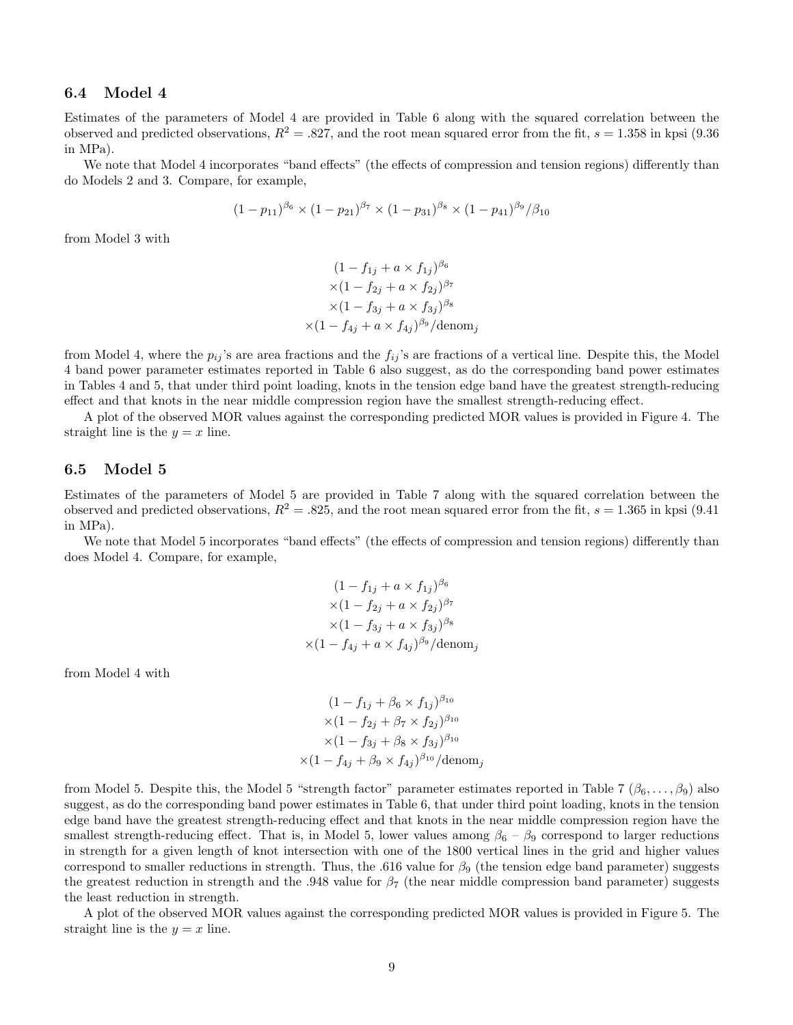#### 6.4 Model 4

Estimates of the parameters of Model 4 are provided in Table 6 along with the squared correlation between the observed and predicted observations,  $R^2 = .827$ , and the root mean squared error from the fit,  $s = 1.358$  in kpsi (9.36) in MPa).

We note that Model 4 incorporates "band effects" (the effects of compression and tension regions) differently than do Models 2 and 3. Compare, for example,

$$
(1-p_{11})^{\beta_6} \times (1-p_{21})^{\beta_7} \times (1-p_{31})^{\beta_8} \times (1-p_{41})^{\beta_9} / \beta_{10}
$$

from Model 3 with

$$
(1 - f_{1j} + a \times f_{1j})^{\beta_6}
$$
  
×
$$
(1 - f_{2j} + a \times f_{2j})^{\beta_7}
$$
  
×
$$
(1 - f_{3j} + a \times f_{3j})^{\beta_8}
$$
  
×
$$
(1 - f_{4j} + a \times f_{4j})^{\beta_9}
$$
/denom<sub>j</sub>

from Model 4, where the  $p_{ij}$ 's are area fractions and the  $f_{ij}$ 's are fractions of a vertical line. Despite this, the Model 4 band power parameter estimates reported in Table 6 also suggest, as do the corresponding band power estimates in Tables 4 and 5, that under third point loading, knots in the tension edge band have the greatest strength-reducing effect and that knots in the near middle compression region have the smallest strength-reducing effect.

A plot of the observed MOR values against the corresponding predicted MOR values is provided in Figure 4. The straight line is the  $y = x$  line.

#### 6.5 Model 5

Estimates of the parameters of Model 5 are provided in Table 7 along with the squared correlation between the observed and predicted observations,  $R^2 = .825$ , and the root mean squared error from the fit,  $s = 1.365$  in kpsi (9.41) in MPa).

We note that Model 5 incorporates "band effects" (the effects of compression and tension regions) differently than does Model 4. Compare, for example,

$$
(1 - f_{1j} + a \times f_{1j})^{\beta_6}
$$
  
× $(1 - f_{2j} + a \times f_{2j})^{\beta_7}$   
× $(1 - f_{3j} + a \times f_{3j})^{\beta_8}$   
× $(1 - f_{4j} + a \times f_{4j})^{\beta_9}$ /denom<sub>j</sub>

from Model 4 with

$$
(1 - f_{1j} + \beta_6 \times f_{1j})^{\beta_{10}}\times (1 - f_{2j} + \beta_7 \times f_{2j})^{\beta_{10}}\times (1 - f_{3j} + \beta_8 \times f_{3j})^{\beta_{10}}\times (1 - f_{4j} + \beta_9 \times f_{4j})^{\beta_{10}}/\text{denom}_j
$$

from Model 5. Despite this, the Model 5 "strength factor" parameter estimates reported in Table 7  $(\beta_6, \ldots, \beta_9)$  also suggest, as do the corresponding band power estimates in Table 6, that under third point loading, knots in the tension edge band have the greatest strength-reducing effect and that knots in the near middle compression region have the smallest strength-reducing effect. That is, in Model 5, lower values among  $\beta_6 - \beta_9$  correspond to larger reductions in strength for a given length of knot intersection with one of the 1800 vertical lines in the grid and higher values correspond to smaller reductions in strength. Thus, the .616 value for  $\beta_9$  (the tension edge band parameter) suggests the greatest reduction in strength and the .948 value for  $\beta$ 7 (the near middle compression band parameter) suggests the least reduction in strength.

A plot of the observed MOR values against the corresponding predicted MOR values is provided in Figure 5. The straight line is the  $y = x$  line.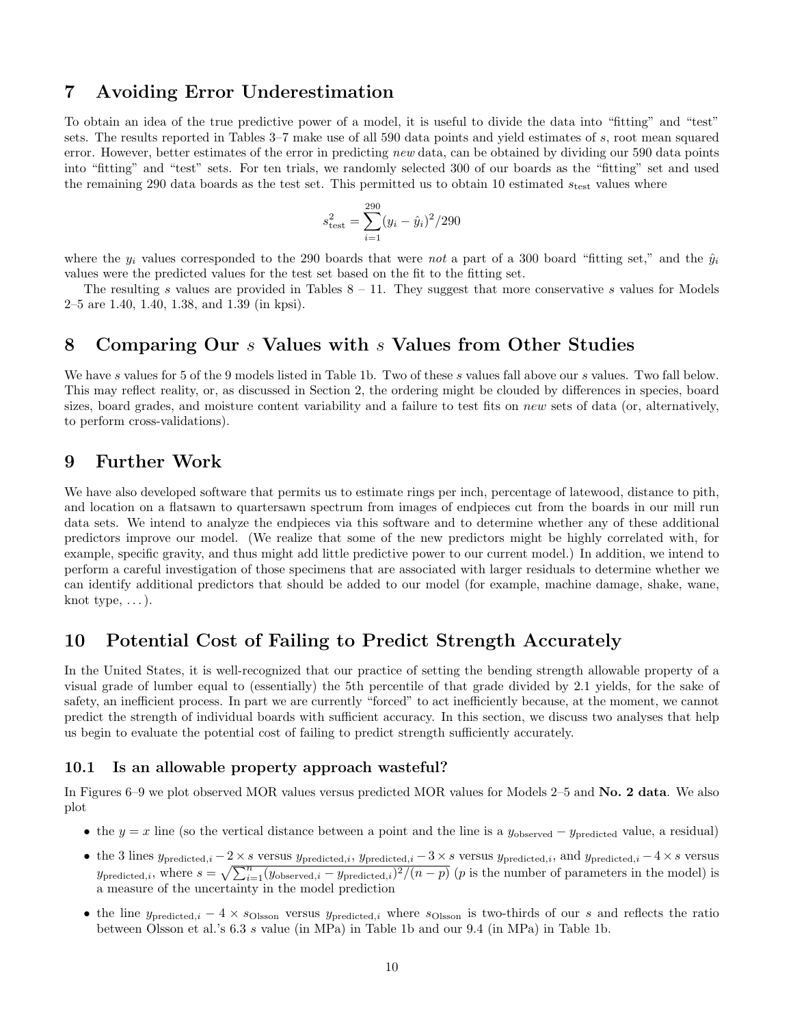## 7 Avoiding Error Underestimation

To obtain an idea of the true predictive power of a model, it is useful to divide the data into "fitting" and "test" sets. The results reported in Tables 3–7 make use of all 590 data points and yield estimates of s, root mean squared error. However, better estimates of the error in predicting new data, can be obtained by dividing our 590 data points into "fitting" and "test" sets. For ten trials, we randomly selected 300 of our boards as the "fitting" set and used the remaining 290 data boards as the test set. This permitted us to obtain 10 estimated  $s_{\text{test}}$  values where

$$
s_{\text{test}}^2 = \sum_{i=1}^{290} (y_i - \hat{y}_i)^2 / 290
$$

where the  $y_i$  values corresponded to the 290 boards that were not a part of a 300 board "fitting set," and the  $\hat{y}_i$ values were the predicted values for the test set based on the fit to the fitting set.

The resulting s values are provided in Tables  $8 - 11$ . They suggest that more conservative s values for Models 2–5 are 1.40, 1.40, 1.38, and 1.39 (in kpsi).

## 8 Comparing Our s Values with s Values from Other Studies

We have s values for 5 of the 9 models listed in Table 1b. Two of these s values fall above our s values. Two fall below. This may reflect reality, or, as discussed in Section 2, the ordering might be clouded by differences in species, board sizes, board grades, and moisture content variability and a failure to test fits on new sets of data (or, alternatively, to perform cross-validations).

## 9 Further Work

We have also developed software that permits us to estimate rings per inch, percentage of latewood, distance to pith, and location on a flatsawn to quartersawn spectrum from images of endpieces cut from the boards in our mill run data sets. We intend to analyze the endpieces via this software and to determine whether any of these additional predictors improve our model. (We realize that some of the new predictors might be highly correlated with, for example, specific gravity, and thus might add little predictive power to our current model.) In addition, we intend to perform a careful investigation of those specimens that are associated with larger residuals to determine whether we can identify additional predictors that should be added to our model (for example, machine damage, shake, wane, knot type,  $\dots$ ).

## 10 Potential Cost of Failing to Predict Strength Accurately

In the United States, it is well-recognized that our practice of setting the bending strength allowable property of a visual grade of lumber equal to (essentially) the 5th percentile of that grade divided by 2.1 yields, for the sake of safety, an inefficient process. In part we are currently "forced" to act inefficiently because, at the moment, we cannot predict the strength of individual boards with sufficient accuracy. In this section, we discuss two analyses that help us begin to evaluate the potential cost of failing to predict strength sufficiently accurately.

#### 10.1 Is an allowable property approach wasteful?

In Figures 6–9 we plot observed MOR values versus predicted MOR values for Models 2–5 and No. 2 data. We also plot

- the  $y = x$  line (so the vertical distance between a point and the line is a  $y_{\text{observed}} y_{\text{predicted}}$  value, a residual)
- the 3 lines  $y_{\text{predicted},i} 2 \times s$  versus  $y_{\text{predicted},i}$ ,  $y_{\text{predicted},i} 3 \times s$  versus  $y_{\text{predicted},i}$ , and  $y_{\text{predicted},i} 4 \times s$  versus  $y_{\text{predicted},i}$ , where  $s = \sqrt{\sum_{i=1}^{n} (y_{\text{observed},i} - y_{\text{predicted},i})^2 / (n-p)}$  (*p* is the number of parameters in the model) is a measure of the uncertainty in the model prediction
- the line  $y_{\text{predicted},i} 4 \times s_{\text{Oisson}}$  versus  $y_{\text{predicted},i}$  where  $s_{\text{Oisson}}$  is two-thirds of our s and reflects the ratio between Olsson et al.'s 6.3 s value (in MPa) in Table 1b and our 9.4 (in MPa) in Table 1b.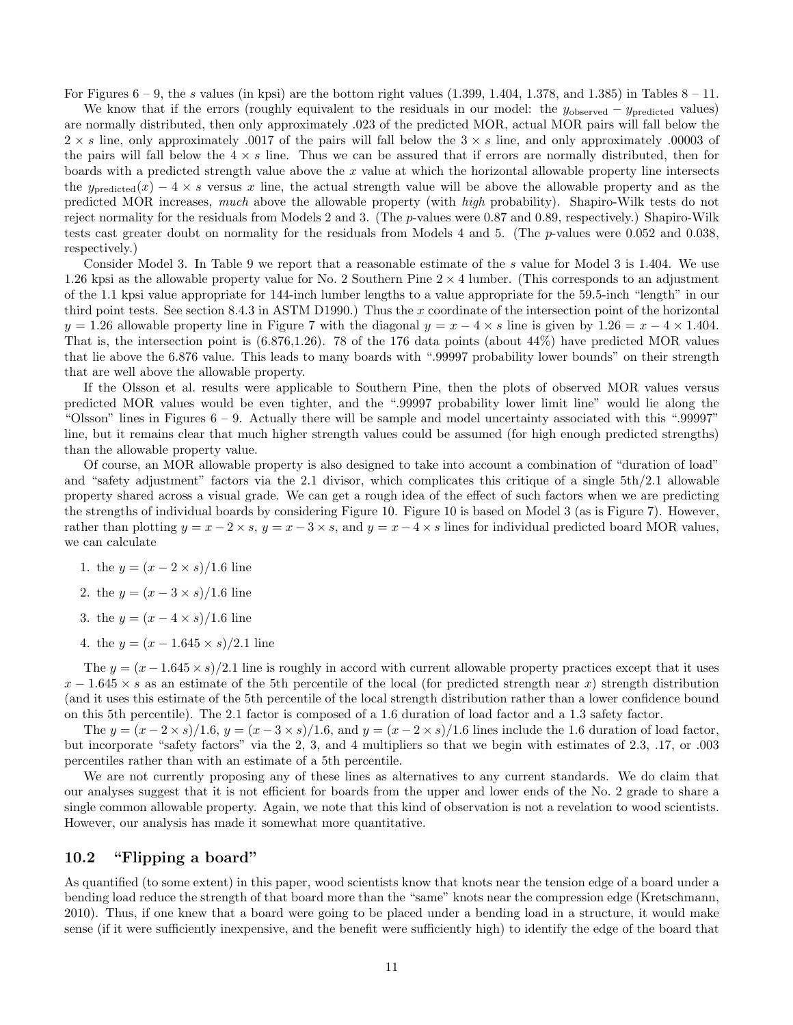For Figures  $6 - 9$ , the s values (in kpsi) are the bottom right values (1.399, 1.404, 1.378, and 1.385) in Tables  $8 - 11$ .

We know that if the errors (roughly equivalent to the residuals in our model: the  $y_{\text{observed}} - y_{\text{predicted}}$  values) are normally distributed, then only approximately .023 of the predicted MOR, actual MOR pairs will fall below the  $2 \times s$  line, only approximately .0017 of the pairs will fall below the  $3 \times s$  line, and only approximately .00003 of the pairs will fall below the  $4 \times s$  line. Thus we can be assured that if errors are normally distributed, then for boards with a predicted strength value above the x value at which the horizontal allowable property line intersects the  $y_{predicted}(x) - 4 \times s$  versus x line, the actual strength value will be above the allowable property and as the predicted MOR increases, much above the allowable property (with high probability). Shapiro-Wilk tests do not reject normality for the residuals from Models 2 and 3. (The p-values were 0.87 and 0.89, respectively.) Shapiro-Wilk tests cast greater doubt on normality for the residuals from Models 4 and 5. (The p-values were 0.052 and 0.038, respectively.)

Consider Model 3. In Table 9 we report that a reasonable estimate of the s value for Model 3 is 1.404. We use 1.26 kpsi as the allowable property value for No. 2 Southern Pine  $2 \times 4$  lumber. (This corresponds to an adjustment of the 1.1 kpsi value appropriate for 144-inch lumber lengths to a value appropriate for the 59.5-inch "length" in our third point tests. See section 8.4.3 in ASTM D1990.) Thus the x coordinate of the intersection point of the horizontal  $y = 1.26$  allowable property line in Figure 7 with the diagonal  $y = x - 4 \times s$  line is given by  $1.26 = x - 4 \times 1.404$ . That is, the intersection point is (6.876,1.26). 78 of the 176 data points (about 44%) have predicted MOR values that lie above the 6.876 value. This leads to many boards with ".99997 probability lower bounds" on their strength that are well above the allowable property.

If the Olsson et al. results were applicable to Southern Pine, then the plots of observed MOR values versus predicted MOR values would be even tighter, and the ".99997 probability lower limit line" would lie along the "Olsson" lines in Figures  $6 - 9$ . Actually there will be sample and model uncertainty associated with this ".99997" line, but it remains clear that much higher strength values could be assumed (for high enough predicted strengths) than the allowable property value.

Of course, an MOR allowable property is also designed to take into account a combination of "duration of load" and "safety adjustment" factors via the 2.1 divisor, which complicates this critique of a single 5th/2.1 allowable property shared across a visual grade. We can get a rough idea of the effect of such factors when we are predicting the strengths of individual boards by considering Figure 10. Figure 10 is based on Model 3 (as is Figure 7). However, rather than plotting  $y = x - 2 \times s$ ,  $y = x - 3 \times s$ , and  $y = x - 4 \times s$  lines for individual predicted board MOR values, we can calculate

- 1. the  $y = (x 2 \times s)/1.6$  line
- 2. the  $y = (x 3 \times s)/1.6$  line
- 3. the  $y = (x 4 \times s)/1.6$  line
- 4. the  $y = (x 1.645 \times s)/2.1$  line

The  $y = (x - 1.645 \times s)/2.1$  line is roughly in accord with current allowable property practices except that it uses  $x - 1.645 \times s$  as an estimate of the 5th percentile of the local (for predicted strength near x) strength distribution (and it uses this estimate of the 5th percentile of the local strength distribution rather than a lower confidence bound on this 5th percentile). The 2.1 factor is composed of a 1.6 duration of load factor and a 1.3 safety factor.

The  $y = (x - 2 \times s)/1.6$ ,  $y = (x - 3 \times s)/1.6$ , and  $y = (x - 2 \times s)/1.6$  lines include the 1.6 duration of load factor, but incorporate "safety factors" via the 2, 3, and 4 multipliers so that we begin with estimates of 2.3, .17, or .003 percentiles rather than with an estimate of a 5th percentile.

We are not currently proposing any of these lines as alternatives to any current standards. We do claim that our analyses suggest that it is not efficient for boards from the upper and lower ends of the No. 2 grade to share a single common allowable property. Again, we note that this kind of observation is not a revelation to wood scientists. However, our analysis has made it somewhat more quantitative.

#### 10.2 "Flipping a board"

As quantified (to some extent) in this paper, wood scientists know that knots near the tension edge of a board under a bending load reduce the strength of that board more than the "same" knots near the compression edge (Kretschmann, 2010). Thus, if one knew that a board were going to be placed under a bending load in a structure, it would make sense (if it were sufficiently inexpensive, and the benefit were sufficiently high) to identify the edge of the board that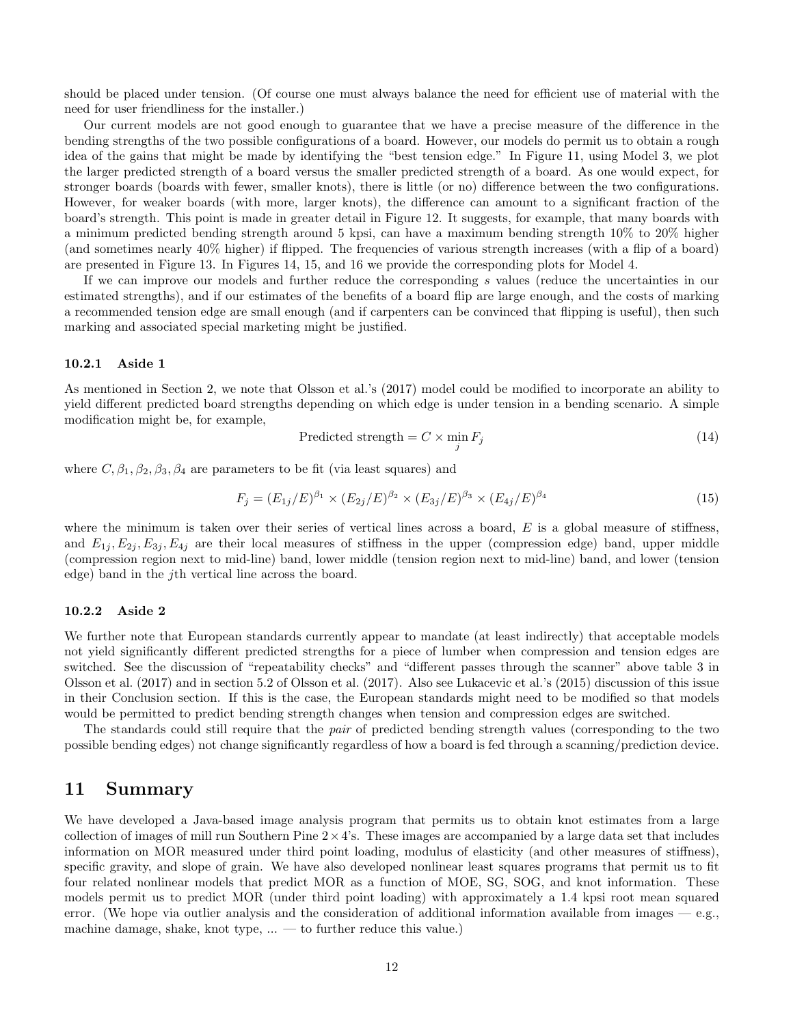should be placed under tension. (Of course one must always balance the need for efficient use of material with the need for user friendliness for the installer.)

Our current models are not good enough to guarantee that we have a precise measure of the difference in the bending strengths of the two possible configurations of a board. However, our models do permit us to obtain a rough idea of the gains that might be made by identifying the "best tension edge." In Figure 11, using Model 3, we plot the larger predicted strength of a board versus the smaller predicted strength of a board. As one would expect, for stronger boards (boards with fewer, smaller knots), there is little (or no) difference between the two configurations. However, for weaker boards (with more, larger knots), the difference can amount to a significant fraction of the board's strength. This point is made in greater detail in Figure 12. It suggests, for example, that many boards with a minimum predicted bending strength around 5 kpsi, can have a maximum bending strength 10% to 20% higher (and sometimes nearly 40% higher) if flipped. The frequencies of various strength increases (with a flip of a board) are presented in Figure 13. In Figures 14, 15, and 16 we provide the corresponding plots for Model 4.

If we can improve our models and further reduce the corresponding s values (reduce the uncertainties in our estimated strengths), and if our estimates of the benefits of a board flip are large enough, and the costs of marking a recommended tension edge are small enough (and if carpenters can be convinced that flipping is useful), then such marking and associated special marketing might be justified.

#### 10.2.1 Aside 1

As mentioned in Section 2, we note that Olsson et al.'s (2017) model could be modified to incorporate an ability to yield different predicted board strengths depending on which edge is under tension in a bending scenario. A simple modification might be, for example,

$$
Predicted strength = C \times \min_{j} F_{j}
$$
\n(14)

where  $C, \beta_1, \beta_2, \beta_3, \beta_4$  are parameters to be fit (via least squares) and

$$
F_j = (E_{1j}/E)^{\beta_1} \times (E_{2j}/E)^{\beta_2} \times (E_{3j}/E)^{\beta_3} \times (E_{4j}/E)^{\beta_4}
$$
\n(15)

where the minimum is taken over their series of vertical lines across a board,  $E$  is a global measure of stiffness, and  $E_{1j}, E_{2j}, E_{3j}, E_{4j}$  are their local measures of stiffness in the upper (compression edge) band, upper middle (compression region next to mid-line) band, lower middle (tension region next to mid-line) band, and lower (tension edge) band in the jth vertical line across the board.

#### 10.2.2 Aside 2

We further note that European standards currently appear to mandate (at least indirectly) that acceptable models not yield significantly different predicted strengths for a piece of lumber when compression and tension edges are switched. See the discussion of "repeatability checks" and "different passes through the scanner" above table 3 in Olsson et al. (2017) and in section 5.2 of Olsson et al. (2017). Also see Lukacevic et al.'s (2015) discussion of this issue in their Conclusion section. If this is the case, the European standards might need to be modified so that models would be permitted to predict bending strength changes when tension and compression edges are switched.

The standards could still require that the pair of predicted bending strength values (corresponding to the two possible bending edges) not change significantly regardless of how a board is fed through a scanning/prediction device.

## 11 Summary

We have developed a Java-based image analysis program that permits us to obtain knot estimates from a large collection of images of mill run Southern Pine  $2 \times 4$ 's. These images are accompanied by a large data set that includes information on MOR measured under third point loading, modulus of elasticity (and other measures of stiffness), specific gravity, and slope of grain. We have also developed nonlinear least squares programs that permit us to fit four related nonlinear models that predict MOR as a function of MOE, SG, SOG, and knot information. These models permit us to predict MOR (under third point loading) with approximately a 1.4 kpsi root mean squared error. (We hope via outlier analysis and the consideration of additional information available from images  $-e.g.,$ machine damage, shake, knot type, ... — to further reduce this value.)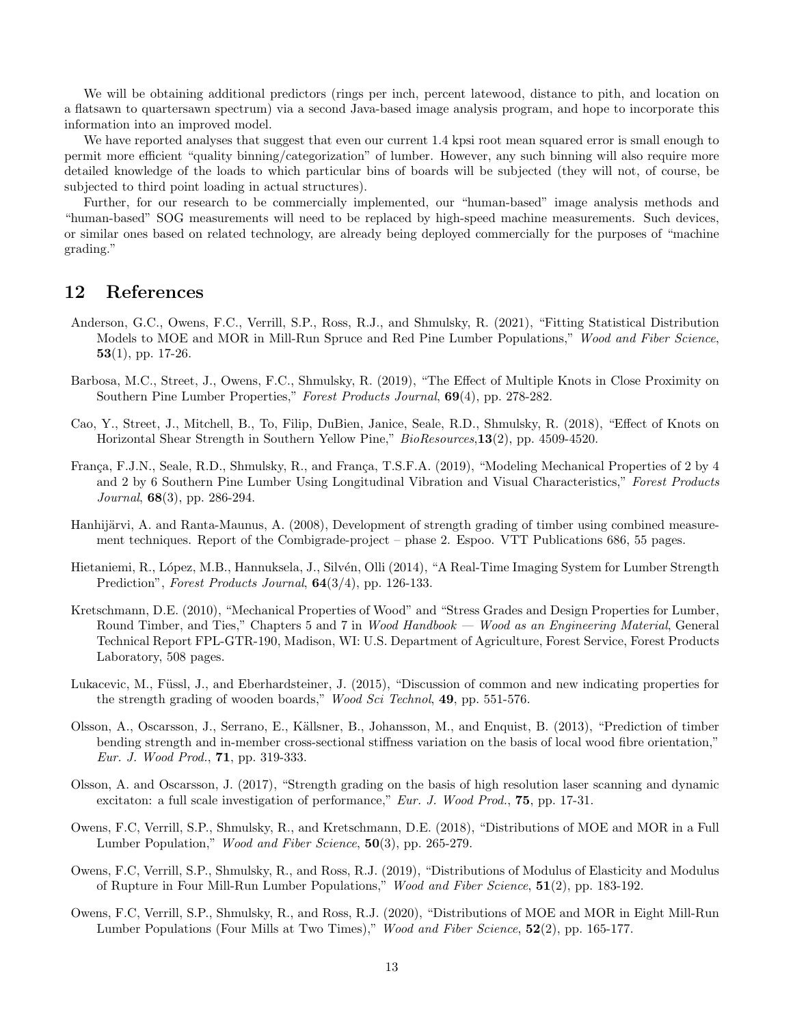We will be obtaining additional predictors (rings per inch, percent latewood, distance to pith, and location on a flatsawn to quartersawn spectrum) via a second Java-based image analysis program, and hope to incorporate this information into an improved model.

We have reported analyses that suggest that even our current 1.4 kpsi root mean squared error is small enough to permit more efficient "quality binning/categorization" of lumber. However, any such binning will also require more detailed knowledge of the loads to which particular bins of boards will be subjected (they will not, of course, be subjected to third point loading in actual structures).

Further, for our research to be commercially implemented, our "human-based" image analysis methods and "human-based" SOG measurements will need to be replaced by high-speed machine measurements. Such devices, or similar ones based on related technology, are already being deployed commercially for the purposes of "machine grading."

## 12 References

- Anderson, G.C., Owens, F.C., Verrill, S.P., Ross, R.J., and Shmulsky, R. (2021), "Fitting Statistical Distribution Models to MOE and MOR in Mill-Run Spruce and Red Pine Lumber Populations," Wood and Fiber Science, 53(1), pp. 17-26.
- Barbosa, M.C., Street, J., Owens, F.C., Shmulsky, R. (2019), "The Effect of Multiple Knots in Close Proximity on Southern Pine Lumber Properties," Forest Products Journal, 69(4), pp. 278-282.
- Cao, Y., Street, J., Mitchell, B., To, Filip, DuBien, Janice, Seale, R.D., Shmulsky, R. (2018), "Effect of Knots on Horizontal Shear Strength in Southern Yellow Pine," BioResources,13(2), pp. 4509-4520.
- França, F.J.N., Seale, R.D., Shmulsky, R., and França, T.S.F.A. (2019), "Modeling Mechanical Properties of 2 by 4 and 2 by 6 Southern Pine Lumber Using Longitudinal Vibration and Visual Characteristics," Forest Products Journal, 68(3), pp. 286-294.
- Hanhijärvi, A. and Ranta-Maunus, A. (2008), Development of strength grading of timber using combined measurement techniques. Report of the Combigrade-project – phase 2. Espoo. VTT Publications 686, 55 pages.
- Hietaniemi, R., López, M.B., Hannuksela, J., Silvén, Olli (2014), "A Real-Time Imaging System for Lumber Strength Prediction", Forest Products Journal,  $64(3/4)$ , pp. 126-133.
- Kretschmann, D.E. (2010), "Mechanical Properties of Wood" and "Stress Grades and Design Properties for Lumber, Round Timber, and Ties," Chapters 5 and 7 in Wood Handbook — Wood as an Engineering Material, General Technical Report FPL-GTR-190, Madison, WI: U.S. Department of Agriculture, Forest Service, Forest Products Laboratory, 508 pages.
- Lukacevic, M., Füssl, J., and Eberhardsteiner, J. (2015), "Discussion of common and new indicating properties for the strength grading of wooden boards," Wood Sci Technol, 49, pp. 551-576.
- Olsson, A., Oscarsson, J., Serrano, E., Källsner, B., Johansson, M., and Enquist, B. (2013), "Prediction of timber bending strength and in-member cross-sectional stiffness variation on the basis of local wood fibre orientation," Eur. J. Wood Prod., 71, pp. 319-333.
- Olsson, A. and Oscarsson, J. (2017), "Strength grading on the basis of high resolution laser scanning and dynamic excitaton: a full scale investigation of performance," Eur. J. Wood Prod., 75, pp. 17-31.
- Owens, F.C, Verrill, S.P., Shmulsky, R., and Kretschmann, D.E. (2018), "Distributions of MOE and MOR in a Full Lumber Population," *Wood and Fiber Science*, **50**(3), pp. 265-279.
- Owens, F.C, Verrill, S.P., Shmulsky, R., and Ross, R.J. (2019), "Distributions of Modulus of Elasticity and Modulus of Rupture in Four Mill-Run Lumber Populations," Wood and Fiber Science, 51(2), pp. 183-192.
- Owens, F.C, Verrill, S.P., Shmulsky, R., and Ross, R.J. (2020), "Distributions of MOE and MOR in Eight Mill-Run Lumber Populations (Four Mills at Two Times)," Wood and Fiber Science, 52(2), pp. 165-177.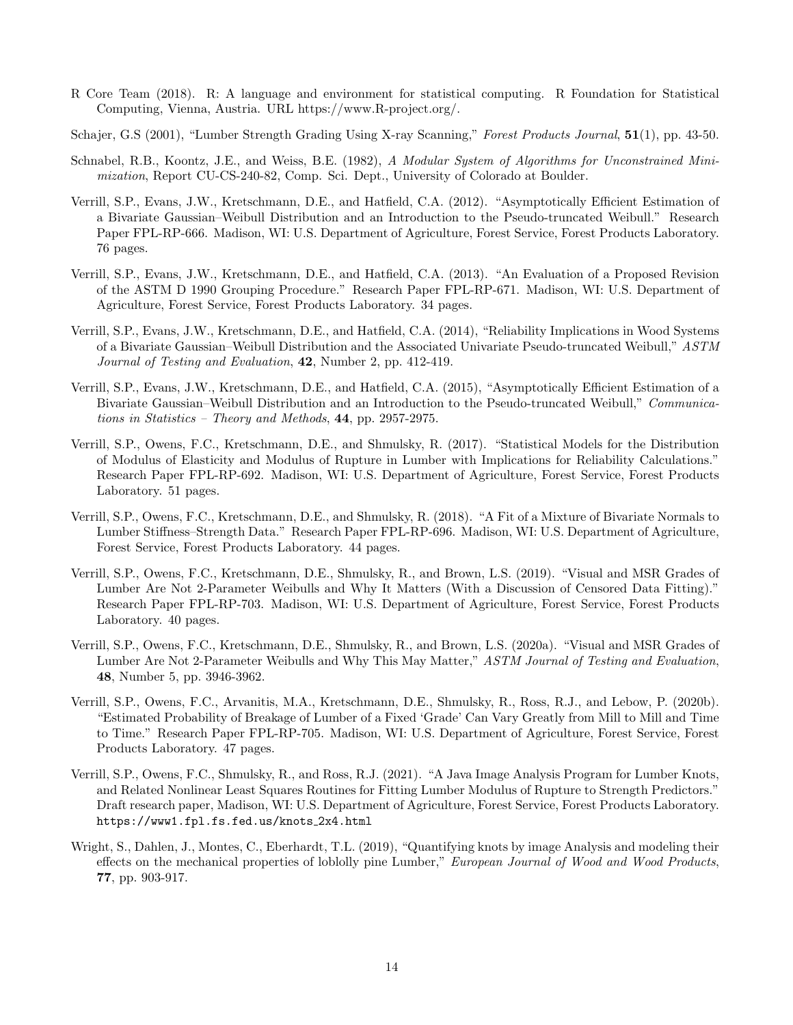- R Core Team (2018). R: A language and environment for statistical computing. R Foundation for Statistical Computing, Vienna, Austria. URL https://www.R-project.org/.
- Schajer, G.S (2001), "Lumber Strength Grading Using X-ray Scanning," Forest Products Journal, 51(1), pp. 43-50.
- Schnabel, R.B., Koontz, J.E., and Weiss, B.E. (1982), A Modular System of Algorithms for Unconstrained Minimization, Report CU-CS-240-82, Comp. Sci. Dept., University of Colorado at Boulder.
- Verrill, S.P., Evans, J.W., Kretschmann, D.E., and Hatfield, C.A. (2012). "Asymptotically Efficient Estimation of a Bivariate Gaussian–Weibull Distribution and an Introduction to the Pseudo-truncated Weibull." Research Paper FPL-RP-666. Madison, WI: U.S. Department of Agriculture, Forest Service, Forest Products Laboratory. 76 pages.
- Verrill, S.P., Evans, J.W., Kretschmann, D.E., and Hatfield, C.A. (2013). "An Evaluation of a Proposed Revision of the ASTM D 1990 Grouping Procedure." Research Paper FPL-RP-671. Madison, WI: U.S. Department of Agriculture, Forest Service, Forest Products Laboratory. 34 pages.
- Verrill, S.P., Evans, J.W., Kretschmann, D.E., and Hatfield, C.A. (2014), "Reliability Implications in Wood Systems of a Bivariate Gaussian–Weibull Distribution and the Associated Univariate Pseudo-truncated Weibull," ASTM Journal of Testing and Evaluation, 42, Number 2, pp. 412-419.
- Verrill, S.P., Evans, J.W., Kretschmann, D.E., and Hatfield, C.A. (2015), "Asymptotically Efficient Estimation of a Bivariate Gaussian–Weibull Distribution and an Introduction to the Pseudo-truncated Weibull," Communications in Statistics – Theory and Methods, 44, pp. 2957-2975.
- Verrill, S.P., Owens, F.C., Kretschmann, D.E., and Shmulsky, R. (2017). "Statistical Models for the Distribution of Modulus of Elasticity and Modulus of Rupture in Lumber with Implications for Reliability Calculations." Research Paper FPL-RP-692. Madison, WI: U.S. Department of Agriculture, Forest Service, Forest Products Laboratory. 51 pages.
- Verrill, S.P., Owens, F.C., Kretschmann, D.E., and Shmulsky, R. (2018). "A Fit of a Mixture of Bivariate Normals to Lumber Stiffness–Strength Data." Research Paper FPL-RP-696. Madison, WI: U.S. Department of Agriculture, Forest Service, Forest Products Laboratory. 44 pages.
- Verrill, S.P., Owens, F.C., Kretschmann, D.E., Shmulsky, R., and Brown, L.S. (2019). "Visual and MSR Grades of Lumber Are Not 2-Parameter Weibulls and Why It Matters (With a Discussion of Censored Data Fitting)." Research Paper FPL-RP-703. Madison, WI: U.S. Department of Agriculture, Forest Service, Forest Products Laboratory. 40 pages.
- Verrill, S.P., Owens, F.C., Kretschmann, D.E., Shmulsky, R., and Brown, L.S. (2020a). "Visual and MSR Grades of Lumber Are Not 2-Parameter Weibulls and Why This May Matter," ASTM Journal of Testing and Evaluation, 48, Number 5, pp. 3946-3962.
- Verrill, S.P., Owens, F.C., Arvanitis, M.A., Kretschmann, D.E., Shmulsky, R., Ross, R.J., and Lebow, P. (2020b). "Estimated Probability of Breakage of Lumber of a Fixed 'Grade' Can Vary Greatly from Mill to Mill and Time to Time." Research Paper FPL-RP-705. Madison, WI: U.S. Department of Agriculture, Forest Service, Forest Products Laboratory. 47 pages.
- Verrill, S.P., Owens, F.C., Shmulsky, R., and Ross, R.J. (2021). "A Java Image Analysis Program for Lumber Knots, and Related Nonlinear Least Squares Routines for Fitting Lumber Modulus of Rupture to Strength Predictors." Draft research paper, Madison, WI: U.S. Department of Agriculture, Forest Service, Forest Products Laboratory. https://www1.fpl.fs.fed.us/knots 2x4.html
- Wright, S., Dahlen, J., Montes, C., Eberhardt, T.L. (2019), "Quantifying knots by image Analysis and modeling their effects on the mechanical properties of loblolly pine Lumber," European Journal of Wood and Wood Products, 77, pp. 903-917.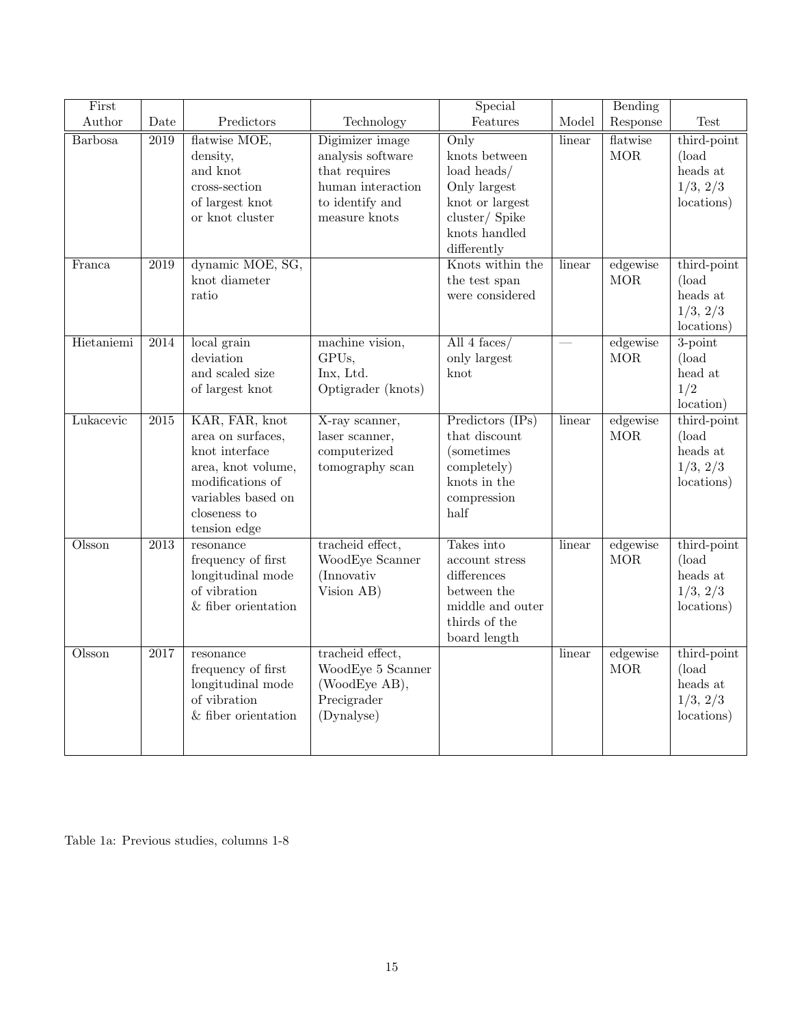| First      |                   |                                                                                                                                                       |                                                                                                                | Special                                                                                                                               |        | Bending                |                                                               |
|------------|-------------------|-------------------------------------------------------------------------------------------------------------------------------------------------------|----------------------------------------------------------------------------------------------------------------|---------------------------------------------------------------------------------------------------------------------------------------|--------|------------------------|---------------------------------------------------------------|
| Author     | Date              | Predictors                                                                                                                                            | Technology                                                                                                     | Features                                                                                                                              | Model  | Response               | Test                                                          |
| Barbosa    | $\overline{2019}$ | flatwise MOE,<br>density,<br>and knot<br>cross-section<br>of largest knot<br>or knot cluster                                                          | Digimizer image<br>analysis software<br>that requires<br>human interaction<br>to identify and<br>measure knots | $\overline{Only}$<br>knots between<br>load heads/<br>Only largest<br>knot or largest<br>cluster/Spike<br>knots handled<br>differently | linear | flatwise<br><b>MOR</b> | third-point<br>$\alpha$<br>heads at<br>1/3, 2/3<br>locations) |
| Franca     | $\overline{2019}$ | dynamic MOE, SG,<br>knot diameter<br>ratio                                                                                                            |                                                                                                                | Knots within the<br>the test span<br>were considered                                                                                  | linear | edgewise<br>MOR        | third-point<br>(load)<br>heads at<br>1/3, 2/3<br>locations)   |
| Hietaniemi | 2014              | local grain<br>deviation<br>and scaled size<br>of largest knot                                                                                        | machine vision,<br>GPUs,<br>Inx, Ltd.<br>Optigrader (knots)                                                    | All $4$ faces/<br>only largest<br>knot                                                                                                |        | edgewise<br>$\rm{MOR}$ | $3$ -point<br>(load<br>head at<br>1/2<br>location)            |
| Lukacevic  | $\overline{2015}$ | KAR, FAR, knot<br>area on surfaces,<br>knot interface<br>area, knot volume,<br>modifications of<br>variables based on<br>closeness to<br>tension edge | X-ray scanner,<br>laser scanner,<br>computerized<br>tomography scan                                            | Predictors $(IPs)$<br>that discount<br>(sometimes)<br>completely)<br>knots in the<br>compression<br>half                              | linear | edgewise<br>$\rm{MOR}$ | third-point<br>(load<br>heads at<br>1/3, 2/3<br>locations)    |
| Olsson     | 2013              | resonance<br>frequency of first<br>longitudinal mode<br>of vibration<br>$\&$ fiber orientation                                                        | tracheid effect,<br>WoodEye Scanner<br>(Innovativ<br>Vision AB)                                                | Takes into<br>$\rm{account}\,\,stress$<br>differences<br>between the<br>middle and outer<br>thirds of the<br>board length             | linear | edgewise<br><b>MOR</b> | third-point<br>$\alpha$<br>heads at<br>1/3, 2/3<br>locations) |
| Olsson     | $\overline{2017}$ | resonance<br>frequency of first<br>longitudinal mode<br>of vibration<br>$&$ fiber orientation                                                         | tracheid effect,<br>WoodEye 5 Scanner<br>(WoodEye AB),<br>Precigrader<br>(Dynalyse)                            |                                                                                                                                       | linear | edgewise<br><b>MOR</b> | third-point<br>(load<br>heads at<br>1/3, 2/3<br>locations)    |

Table 1a: Previous studies, columns 1-8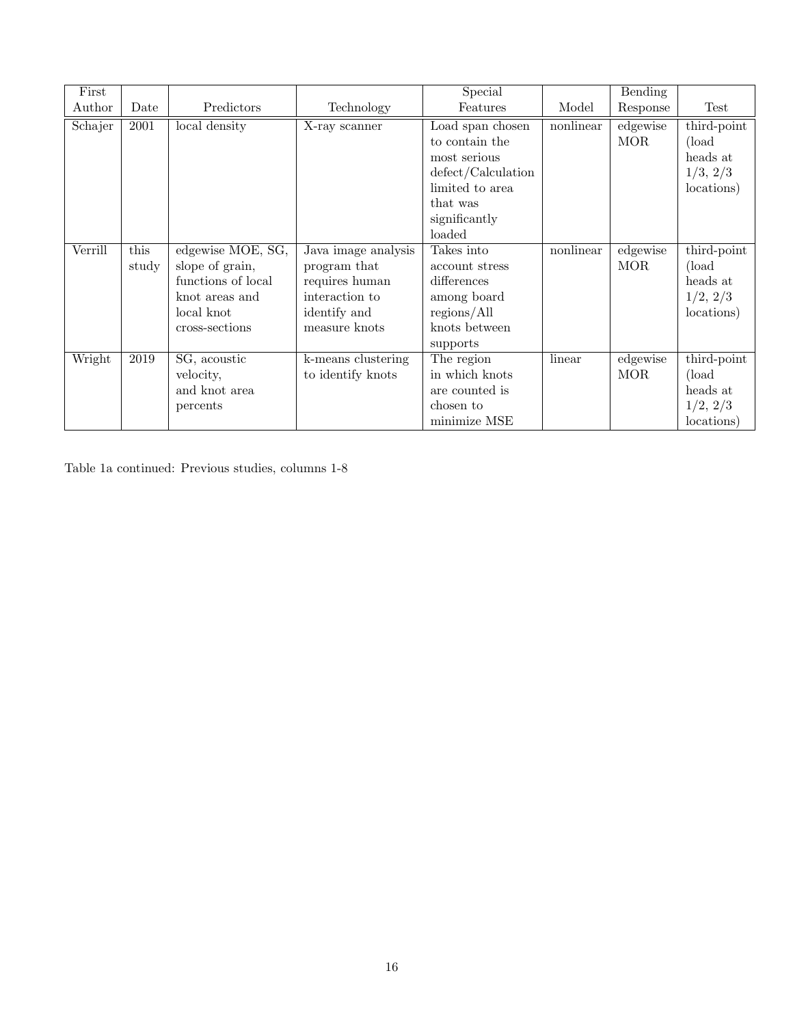| First   |       |                    |                     | Special                            |           | Bending    |             |
|---------|-------|--------------------|---------------------|------------------------------------|-----------|------------|-------------|
| Author  | Date  | Predictors         | Technology          | Features                           | Model     | Response   | Test        |
| Schajer | 2001  | local density      | X-ray scanner       | Load span chosen                   | nonlinear | edgewise   | third-point |
|         |       |                    |                     | to contain the                     |           | <b>MOR</b> | (load)      |
|         |       |                    |                     | most serious                       |           |            | heads at    |
|         |       |                    |                     | $\text{defect}/\text{Calculation}$ |           |            | 1/3, 2/3    |
|         |       |                    |                     | limited to area                    |           |            | locations)  |
|         |       |                    |                     | that was                           |           |            |             |
|         |       |                    |                     | significantly                      |           |            |             |
|         |       |                    |                     | loaded                             |           |            |             |
| Verrill | this  | edgewise MOE, SG,  | Java image analysis | Takes into                         | nonlinear | edgewise   | third-point |
|         | study | slope of grain,    | program that        | account stress                     |           | <b>MOR</b> | (load)      |
|         |       | functions of local | requires human      | differences                        |           |            | heads at    |
|         |       | knot areas and     | interaction to      | among board                        |           |            | 1/2, 2/3    |
|         |       | local knot         | identify and        | regions/All                        |           |            | locations)  |
|         |       | cross-sections     | measure knots       | knots between                      |           |            |             |
|         |       |                    |                     | supports                           |           |            |             |
| Wright  | 2019  | SG, acoustic       | k-means clustering  | The region                         | linear    | edgewise   | third-point |
|         |       | velocity,          | to identify knots   | in which knots                     |           | <b>MOR</b> | (load)      |
|         |       | and knot area      |                     | are counted is                     |           |            | heads at    |
|         |       | percents           |                     | chosen to                          |           |            | 1/2, 2/3    |
|         |       |                    |                     | minimize MSE                       |           |            | locations)  |

Table 1a continued: Previous studies, columns 1-8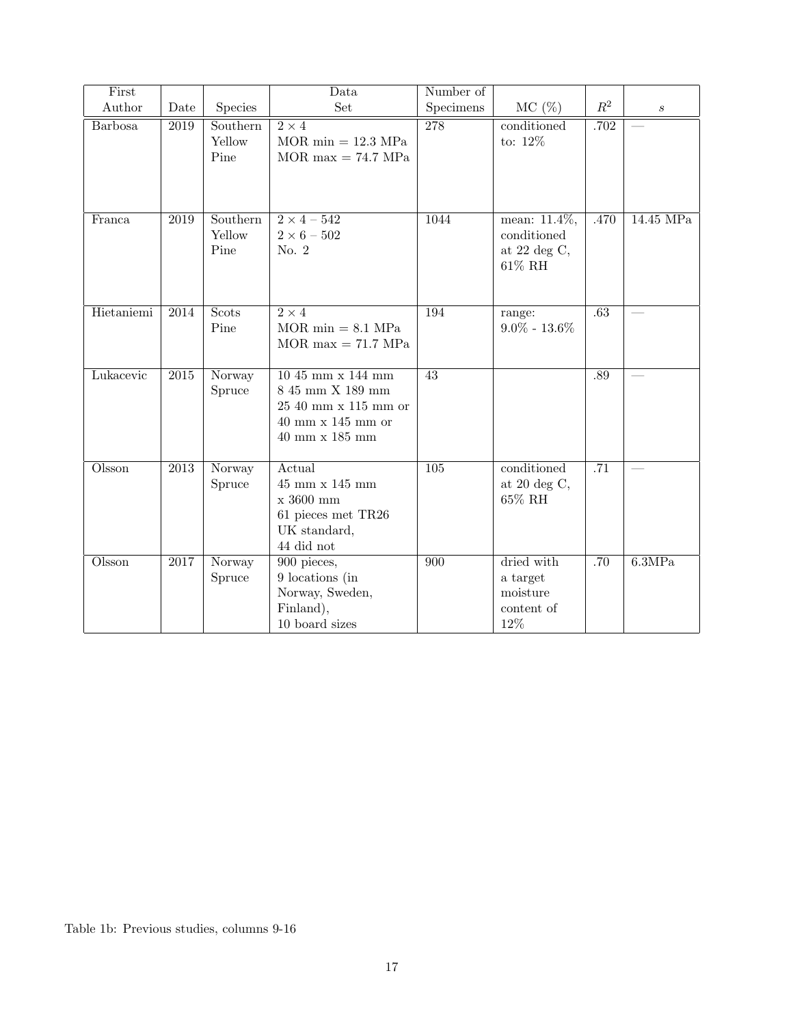| First          |                   |                            | Data                                                                                                                                        | Number of       |                                                                 |                  |                  |
|----------------|-------------------|----------------------------|---------------------------------------------------------------------------------------------------------------------------------------------|-----------------|-----------------------------------------------------------------|------------------|------------------|
| Author         | Date              | Species                    | Set                                                                                                                                         | Specimens       | $MC(\%)$                                                        | $R^2$            | $\boldsymbol{s}$ |
| <b>Barbosa</b> | 2019              | Southern<br>Yellow<br>Pine | $\overline{2\times 4}$<br>$MOR \text{ min} = 12.3 \text{ MPa}$<br>$MOR$ max = 74.7 MPa                                                      | 278             | conditioned<br>to: $12\%$                                       | .702             |                  |
| Franca         | $\overline{2019}$ | Southern<br>Yellow<br>Pine | $2 \times 4 - 542$<br>$2\times6$ – $502$<br>No. 2                                                                                           | 1044            | mean: $11.4\%$ ,<br>conditioned<br>at 22 deg $C$ ,<br>$61\%$ RH | .470             | $14.45$ MPa      |
| Hietaniemi     | $\overline{2014}$ | Scots<br>Pine              | $2 \times 4$<br>$MOR \text{ min} = 8.1 \text{ MPa}$<br>$MOR$ max = 71.7 MPa                                                                 | 194             | range:<br>$9.0\% - 13.6\%$                                      | .63              |                  |
| Lukacevic      | $\overline{2015}$ | Norway<br>Spruce           | $1045$ mm x $144$ mm<br>$8\ 45\ {\rm mm}$ X $189\ {\rm mm}$<br>25 40 mm x 115 mm or<br>$40$ mm $\mathrm{x}$ 145 mm or<br>$40$ mm x $185$ mm | $\overline{43}$ |                                                                 | .89              |                  |
| Olsson         | $\overline{2013}$ | Norway<br>Spruce           | Actual<br>$45$ mm x $145$ mm<br>x 3600 mm<br>61 pieces met TR26<br>UK standard,<br>44 did not                                               | 105             | conditioned<br>at $20 \text{ deg } C$ ,<br>$65\%$ RH            | $\overline{.71}$ |                  |
| Olsson         | 2017              | Norway<br>Spruce           | $900$ pieces,<br>9 locations (in<br>Norway, Sweden,<br>Finland),<br>10 board sizes                                                          | 900             | dried with<br>a target<br>moisture<br>content of<br>12%         | .70              | 6.3MPa           |

Table 1b: Previous studies, columns 9-16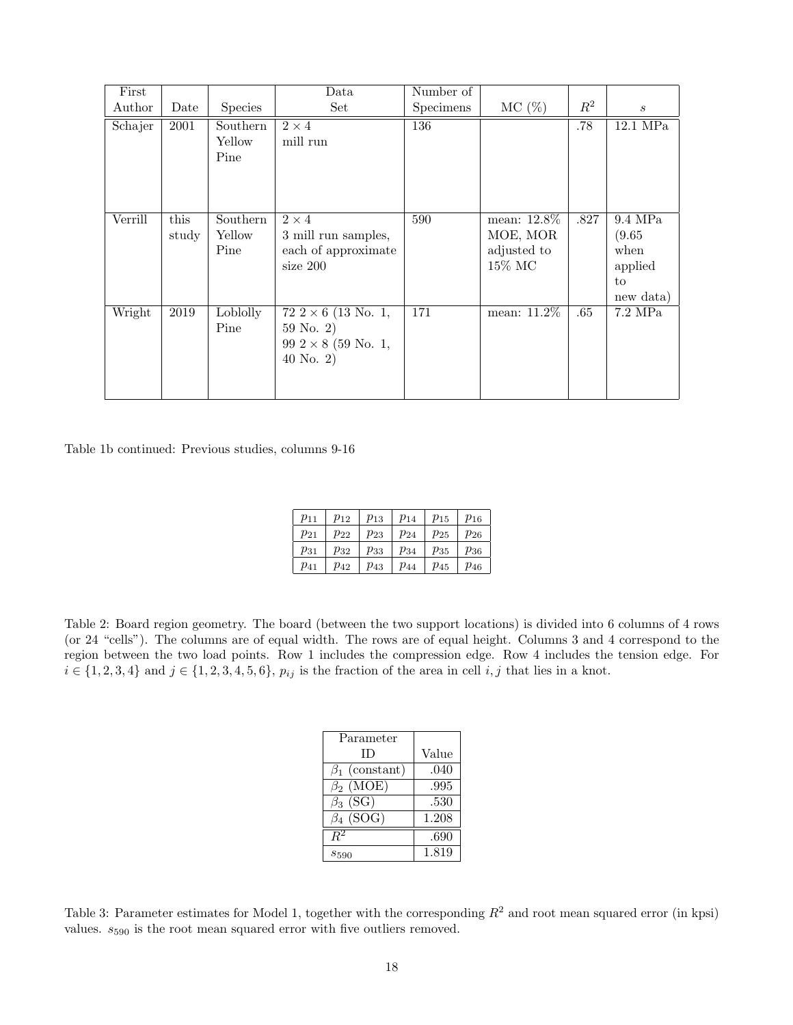| First   |               |                            | Data                                                                                  | Number of |                                                        |       |                                                         |
|---------|---------------|----------------------------|---------------------------------------------------------------------------------------|-----------|--------------------------------------------------------|-------|---------------------------------------------------------|
| Author  | Date          | <b>Species</b>             | Set                                                                                   | Specimens | $MC(\%)$                                               | $R^2$ | $\boldsymbol{s}$                                        |
| Schajer | 2001          | Southern<br>Yellow<br>Pine | $2 \times 4$<br>mill run                                                              | 136       |                                                        | .78   | $12.1$ MPa                                              |
| Verrill | this<br>study | Southern<br>Yellow<br>Pine | $2 \times 4$<br>3 mill run samples,<br>each of approximate<br>size 200                | 590       | mean: $12.8\%$<br>MOE, MOR<br>adjusted to<br>$15\%$ MC | .827  | 9.4 MPa<br>(9.65)<br>when<br>applied<br>to<br>new data) |
| Wright  | 2019          | Loblolly<br>Pine           | $72\ 2 \times 6$ (13 No. 1,<br>59 No. 2)<br>99 $2 \times 8$ (59 No. 1,<br>40 No. $2)$ | 171       | mean: $11.2\%$                                         | .65   | $7.2 \text{ MPa}$                                       |

Table 1b continued: Previous studies, columns 9-16

| $p_{11}$ | $p_{12}$ | $p_{13}$ | $p_{14}$ | $p_{15}$ | $p_{16}$ |
|----------|----------|----------|----------|----------|----------|
| $p_{21}$ | $p_{22}$ | $p_{23}$ | $p_{24}$ | $p_{25}$ | $p_{26}$ |
| $p_{31}$ | $p_{32}$ | $p_{33}$ | $p_{34}$ | $p_{35}$ | $p_{36}$ |
| $p_{41}$ | $p_{42}$ | $p_{43}$ | $p_{44}$ | $p_{45}$ | $p_{46}$ |

Table 2: Board region geometry. The board (between the two support locations) is divided into 6 columns of 4 rows (or 24 "cells"). The columns are of equal width. The rows are of equal height. Columns 3 and 4 correspond to the region between the two load points. Row 1 includes the compression edge. Row 4 includes the tension edge. For  $i \in \{1, 2, 3, 4\}$  and  $j \in \{1, 2, 3, 4, 5, 6\}$ ,  $p_{ij}$  is the fraction of the area in cell  $i, j$  that lies in a knot.

| Parameter            |       |
|----------------------|-------|
| ΙD                   | Value |
| $\beta_1$ (constant) | .040  |
| $\beta_2$ (MOE)      | .995  |
| $\beta_3$ (SG)       | .530  |
| $\beta_4$ (SOG)      | 1.208 |
| $R^2$                | .690  |
| $s_{590}$            | 1.819 |

Table 3: Parameter estimates for Model 1, together with the corresponding  $R^2$  and root mean squared error (in kpsi) values.  $s_{590}$  is the root mean squared error with five outliers removed.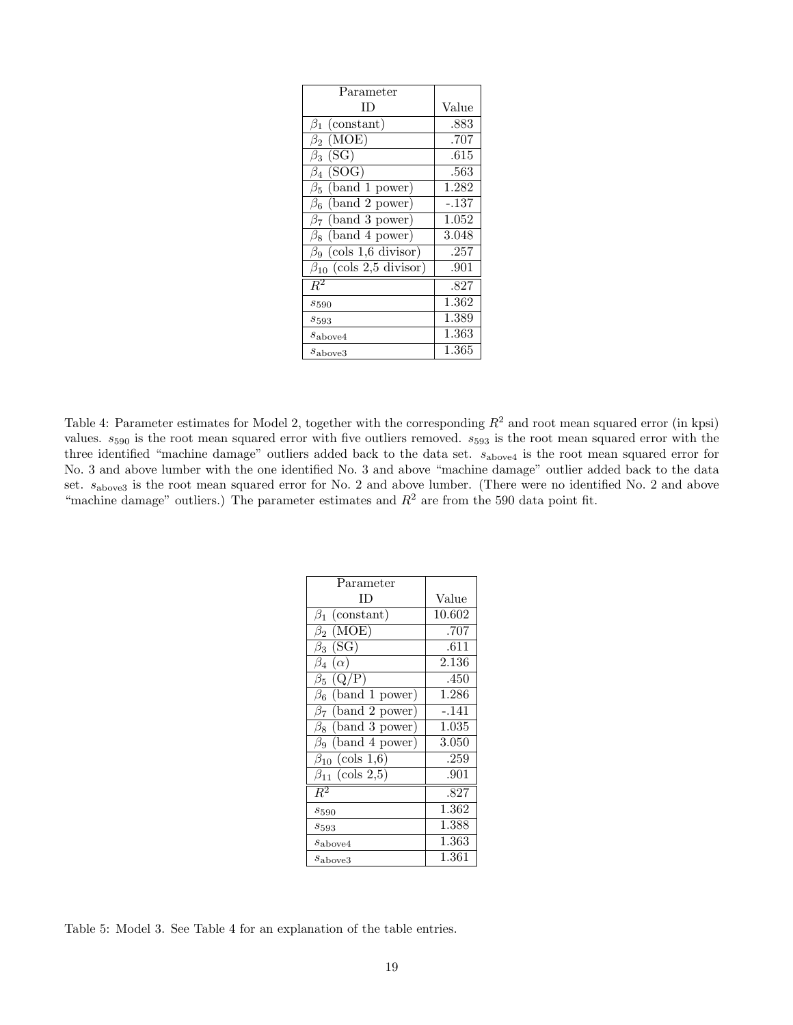| Parameter                       |         |
|---------------------------------|---------|
| ΙD                              | Value   |
| $\beta_1$ (constant)            | .883    |
| $\beta_2$ (MOE)                 | .707    |
| $\beta_3$ (SG)                  | .615    |
| $\beta_4$ (SOG)                 | .563    |
| $\beta_5$ (band 1 power)        | 1.282   |
| $\beta_6$ (band 2 power)        | $-.137$ |
| $\beta_7$ (band 3 power)        | 1.052   |
| $\beta_8$ (band 4 power)        | 3.048   |
| $\beta_9$ (cols 1,6 divisor)    | .257    |
| $\beta_{10}$ (cols 2,5 divisor) | .901    |
| $R^2$                           | .827    |
| $s_{590}$                       | 1.362   |
| $s_{593}$                       | 1.389   |
| $s_{\text{above}4}$             | 1.363   |
| $s_{\rm above3}$                | 1.365   |

Table 4: Parameter estimates for Model 2, together with the corresponding  $R^2$  and root mean squared error (in kpsi) values.  $s_{590}$  is the root mean squared error with five outliers removed.  $s_{593}$  is the root mean squared error with the three identified "machine damage" outliers added back to the data set. sabove4 is the root mean squared error for No. 3 and above lumber with the one identified No. 3 and above "machine damage" outlier added back to the data set.  $s_{\text{above3}}$  is the root mean squared error for No. 2 and above lumber. (There were no identified No. 2 and above "machine damage" outliers.) The parameter estimates and  $R<sup>2</sup>$  are from the 590 data point fit.

| Parameter                                       |           |
|-------------------------------------------------|-----------|
| ΙD                                              | Value     |
| (constant)<br>$\beta_1$                         | 10.602    |
| (MOE)<br>$\beta_2$                              | .707      |
| (SG)<br>$\beta_3$                               | .611      |
| $(\alpha)$<br>$\beta_4$                         | 2.136     |
| (Q/P)<br>$\beta_5$                              | .450      |
| (band 1 power)<br>$\beta_6$                     | 1.286     |
| $\overline{(\text{band 2 power})}$<br>$\beta_7$ | $-.141$   |
| band 3 power)<br>$\beta_8$                      | 1.035     |
| band 4 power)<br>$\beta_9$                      | 3.050     |
| (cols 1,6)<br>$\beta_{10}$                      | .259      |
| (cols 2,5)<br>$\beta_{11}$                      | .901      |
| $R^2$                                           | .827      |
| $s_{590}$                                       | $1.362\,$ |
| $s_{593}$                                       | 1.388     |
| $s_{\text{above}4}$                             | 1.363     |
| $s_{\text{above}3}$                             | $1.361\,$ |

Table 5: Model 3. See Table 4 for an explanation of the table entries.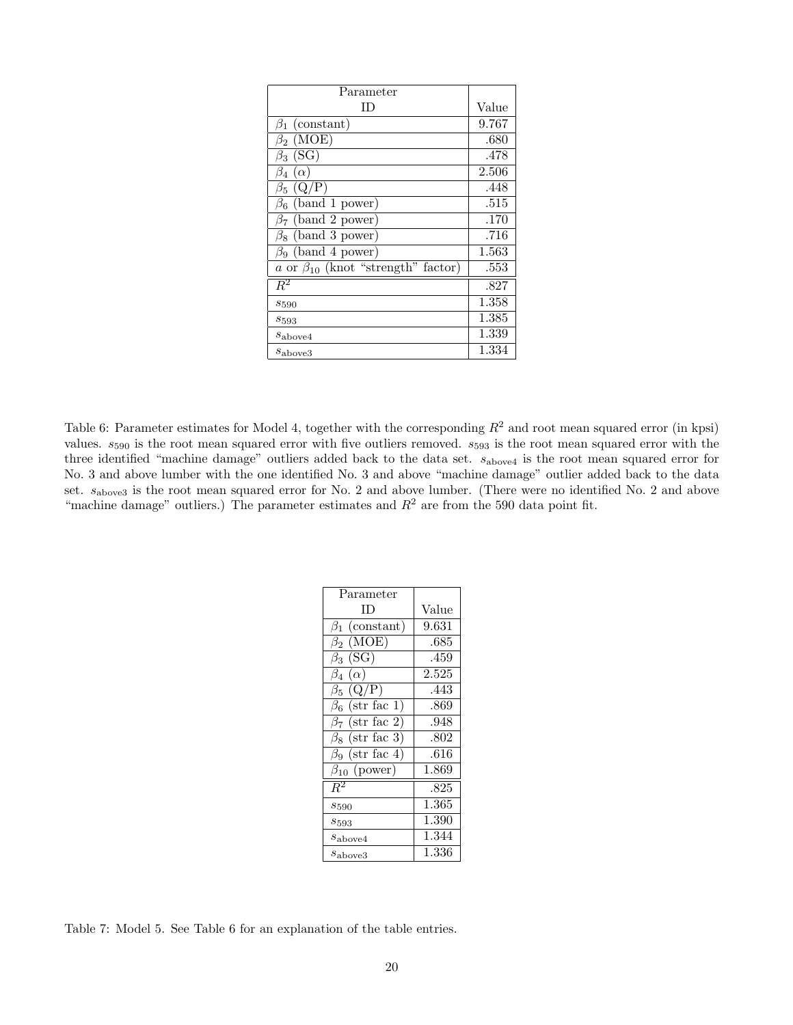| Parameter                                  |       |
|--------------------------------------------|-------|
| ΙD                                         | Value |
| $\beta_1$ (constant)                       | 9.767 |
| $\beta_2$ (MOE)                            | .680  |
| $\beta_3$ (SG)                             | .478  |
| $\beta_4(\alpha)$                          | 2.506 |
| $\beta_5$ (Q/P)                            | .448  |
| $\beta_6$ (band 1 power)                   | .515  |
| (band 2 power)<br>β7                       | .170  |
| $\beta_8$ (band 3 power)                   | .716  |
| $\beta_9$ (band 4 power)                   | 1.563 |
| a or $\beta_{10}$ (knot "strength" factor) | .553  |
| $R^2$                                      | .827  |
| $s_{590}$                                  | 1.358 |
| $s_{593}$                                  | 1.385 |
| $s_{\text{above}4}$                        | 1.339 |
| $s_{\text{above}3}$                        | 1.334 |

Table 6: Parameter estimates for Model 4, together with the corresponding  $R^2$  and root mean squared error (in kpsi) values.  $s_{590}$  is the root mean squared error with five outliers removed.  $s_{593}$  is the root mean squared error with the three identified "machine damage" outliers added back to the data set.  $s_{\text{above4}}$  is the root mean squared error for No. 3 and above lumber with the one identified No. 3 and above "machine damage" outlier added back to the data set.  $s_{\text{above3}}$  is the root mean squared error for No. 2 and above lumber. (There were no identified No. 2 and above "machine damage" outliers.) The parameter estimates and  $R<sup>2</sup>$  are from the 590 data point fit.

| Parameter             |           |
|-----------------------|-----------|
| $\Box$                | Value     |
| $\beta_1$ (constant)  | 9.631     |
| $\beta_2$ (MOE)       | .685      |
| $\beta_3$ (SG)        | .459      |
| $\beta_4(\alpha)$     | $2.525\,$ |
| $\beta_5$ (Q/P)       | .443      |
| $\beta_6$ (str fac 1) | .869      |
| $\beta_7$ (str fac 2) | .948      |
| $\beta_8$ (str fac 3) | .802      |
| $\beta_9$ (str fac 4) | .616      |
| $\beta_{10}$ (power)  | 1.869     |
| $\overline{R^2}$      | .825      |
| $s_{590}$             | 1.365     |
| $s_{593}$             | 1.390     |
| $s_{\text{above}4}$   | 1.344     |
| $s_{\text{above}3}$   | 1.336     |

Table 7: Model 5. See Table 6 for an explanation of the table entries.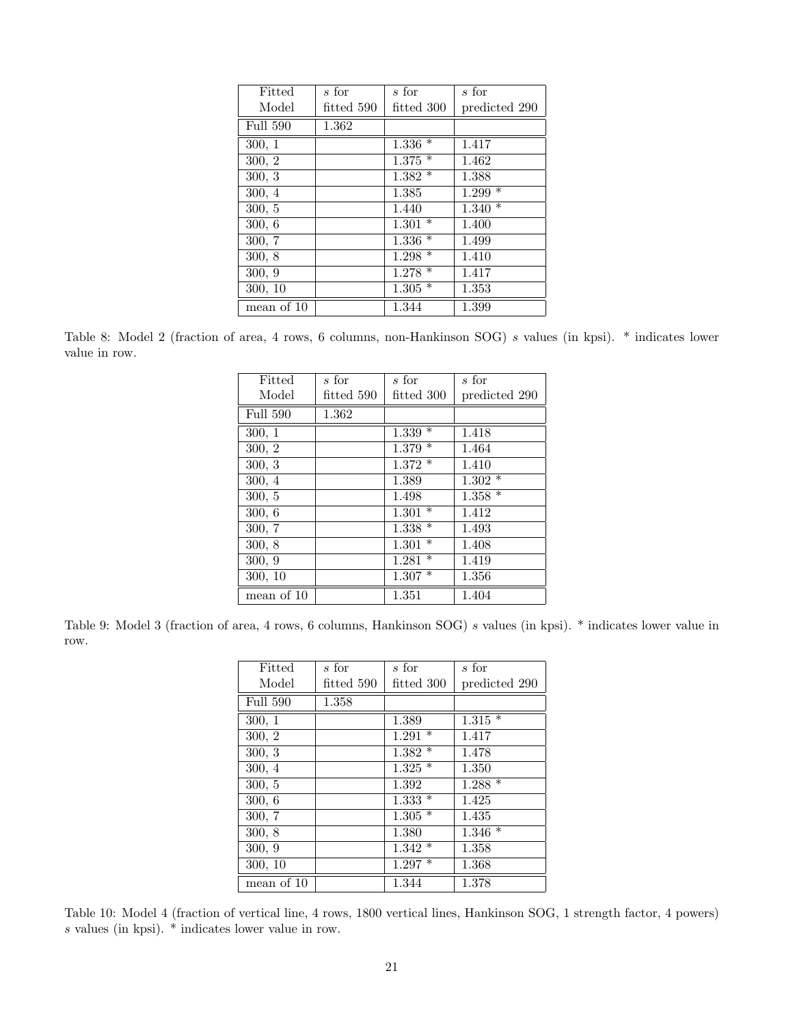| Fitted          | $\overline{s}$ for | s for      | s for         |
|-----------------|--------------------|------------|---------------|
| Model           | fitted 590         | fitted 300 | predicted 290 |
| <b>Full 590</b> | 1.362              |            |               |
| 300, 1          |                    | $1.336*$   | 1.417         |
| 300, 2          |                    | $1.375*$   | 1.462         |
| 300, 3          |                    | $1.382*$   | 1.388         |
| 300, 4          |                    | 1.385      | $1.299*$      |
| 300, 5          |                    | 1.440      | $1.340*$      |
| 300, 6          |                    | $1.301*$   | 1.400         |
| 300, 7          |                    | $1.336*$   | 1.499         |
| 300, 8          |                    | $1.298*$   | 1.410         |
| 300, 9          |                    | $1.278*$   | 1.417         |
| 300, 10         |                    | $1.305*$   | 1.353         |
| mean of 10      |                    | 1.344      | 1.399         |

Table 8: Model 2 (fraction of area, 4 rows, 6 columns, non-Hankinson SOG) s values (in kpsi). \* indicates lower value in row.

| Fitted          | s for        | s for           | $s$ for       |
|-----------------|--------------|-----------------|---------------|
| Model           | fitted $590$ | fitted 300      | predicted 290 |
| <b>Full 590</b> | 1.362        |                 |               |
| 300, 1          |              | $\ast$<br>1.339 | 1.418         |
| 300, 2          |              | $1.379*$        | 1.464         |
| 300, 3          |              | $1.372*$        | 1.410         |
| 300, 4          |              | 1.389           | $1.302*$      |
| 300, 5          |              | 1.498           | $1.358*$      |
| 300, 6          |              | $1.301 *$       | 1.412         |
| 300, 7          |              | $1.338*$        | 1.493         |
| 300, 8          |              | $\ast$<br>1.301 | 1.408         |
| 300, 9          |              | $\ast$<br>1.281 | 1.419         |
| 300, 10         |              | $1.307*$        | 1.356         |
| mean of 10      |              | 1.351           | 1.404         |

Table 9: Model 3 (fraction of area, 4 rows, 6 columns, Hankinson SOG) s values (in kpsi). \* indicates lower value in row.

| Fitted     | s for      | s for      | s for         |
|------------|------------|------------|---------------|
| Model      | fitted~590 | fitted 300 | predicted 290 |
| Full 590   | 1.358      |            |               |
| 300, 1     |            | 1.389      | $1.315*$      |
| 300, 2     |            | $1.291*$   | 1.417         |
| 300, 3     |            | $1.382*$   | 1.478         |
| 300, 4     |            | $1.325*$   | 1.350         |
| 300, 5     |            | 1.392      | $1.288*$      |
| 300, 6     |            | $1.333*$   | 1.425         |
| 300, 7     |            | $1.305*$   | 1.435         |
| 300, 8     |            | 1.380      | $1.346*$      |
| 300, 9     |            | $1.342*$   | 1.358         |
| 300, 10    |            | $1.297*$   | 1.368         |
| mean of 10 |            | 1.344      | 1.378         |

Table 10: Model 4 (fraction of vertical line, 4 rows, 1800 vertical lines, Hankinson SOG, 1 strength factor, 4 powers)  $s$  values (in kpsi).  $\dot{*}$  indicates lower value in row.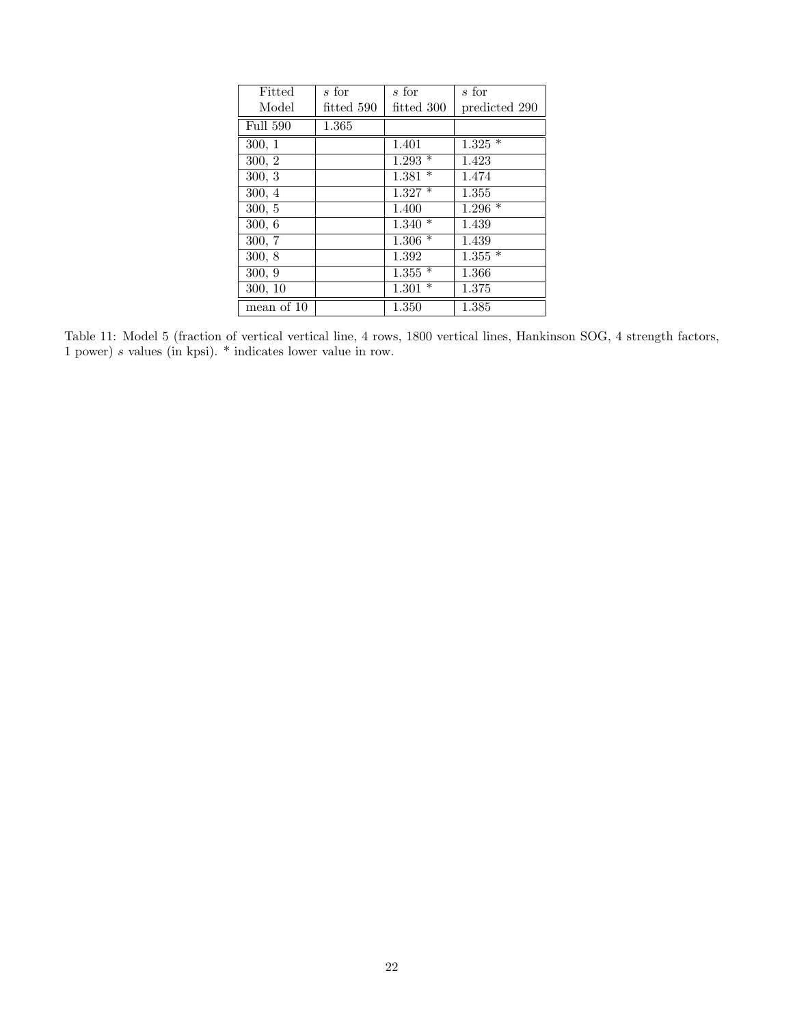| Fitted          | s for      | s for                | s for         |
|-----------------|------------|----------------------|---------------|
| Model           | fitted 590 | fitted 300           | predicted 290 |
| <b>Full 590</b> | 1.365      |                      |               |
| 300, 1          |            | 1.401                | $1.325*$      |
| 300, 2          |            | $1.293*$             | 1.423         |
| 300, 3          |            | $1.381*$             | 1.474         |
| 300, 4          |            | $1.327*$             | 1.355         |
| 300, 5          |            | 1.400                | $1.296*$      |
| 300, 6          |            | $1.340*$             | 1.439         |
| 300, 7          |            | $1.306*$             | 1.439         |
| 300, 8          |            | 1.392                | $1.355*$      |
| 300, 9          |            | $1.\overline{355}$ * | 1.366         |
| 300, 10         |            | $1.301*$             | 1.375         |
| mean of 10      |            | 1.350                | 1.385         |

Table 11: Model 5 (fraction of vertical vertical line, 4 rows, 1800 vertical lines, Hankinson SOG, 4 strength factors, 1 power) s values (in kpsi). \* indicates lower value in row.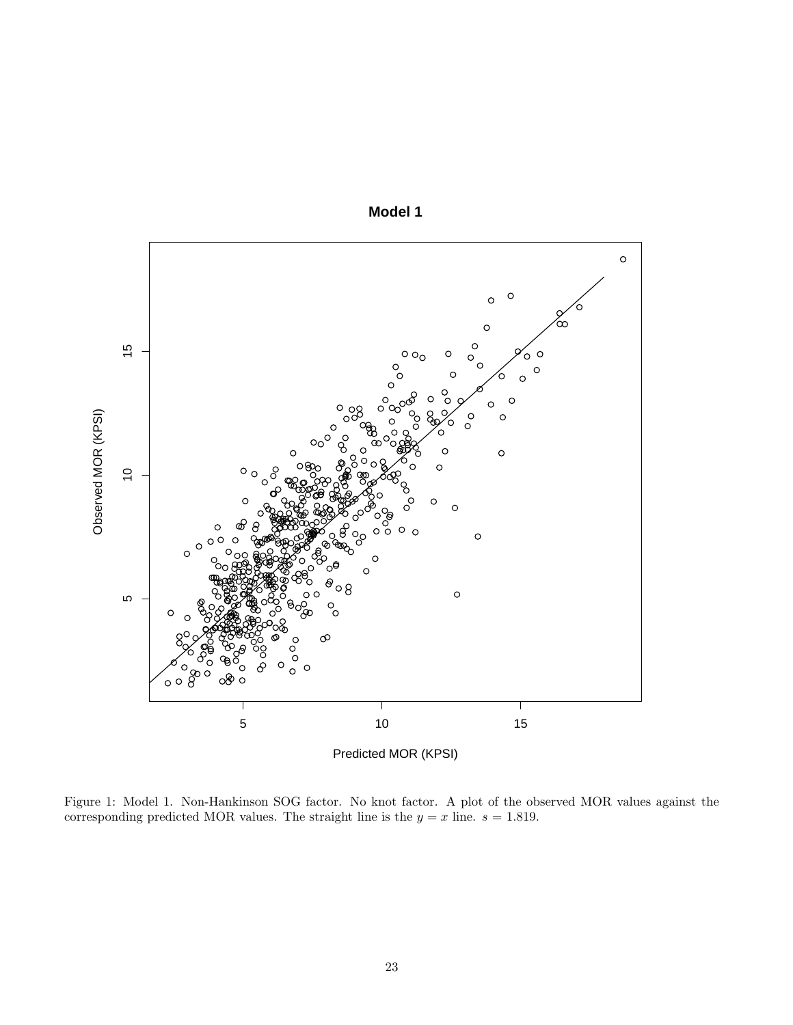

**Model 1**

Figure 1: Model 1. Non-Hankinson SOG factor. No knot factor. A plot of the observed MOR values against the corresponding predicted MOR values. The straight line is the  $y = x$  line.  $s = 1.819$ .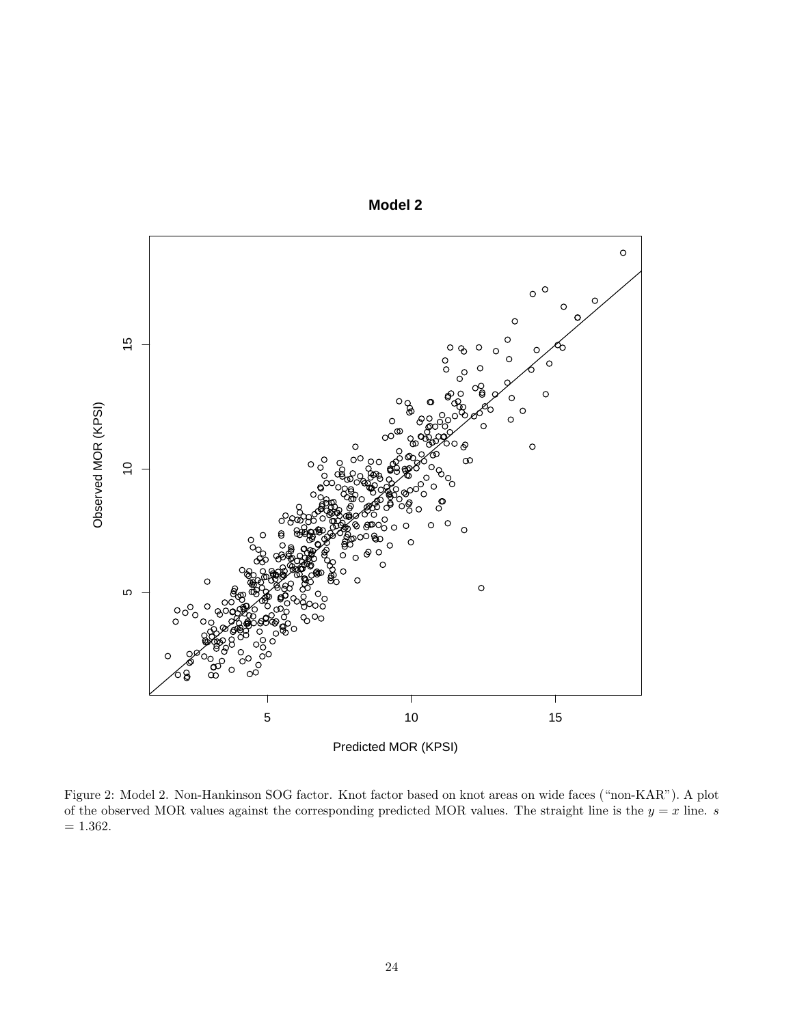

**Model 2**

Figure 2: Model 2. Non-Hankinson SOG factor. Knot factor based on knot areas on wide faces ("non-KAR"). A plot of the observed MOR values against the corresponding predicted MOR values. The straight line is the  $y = x$  line. *s*  $= 1.362.$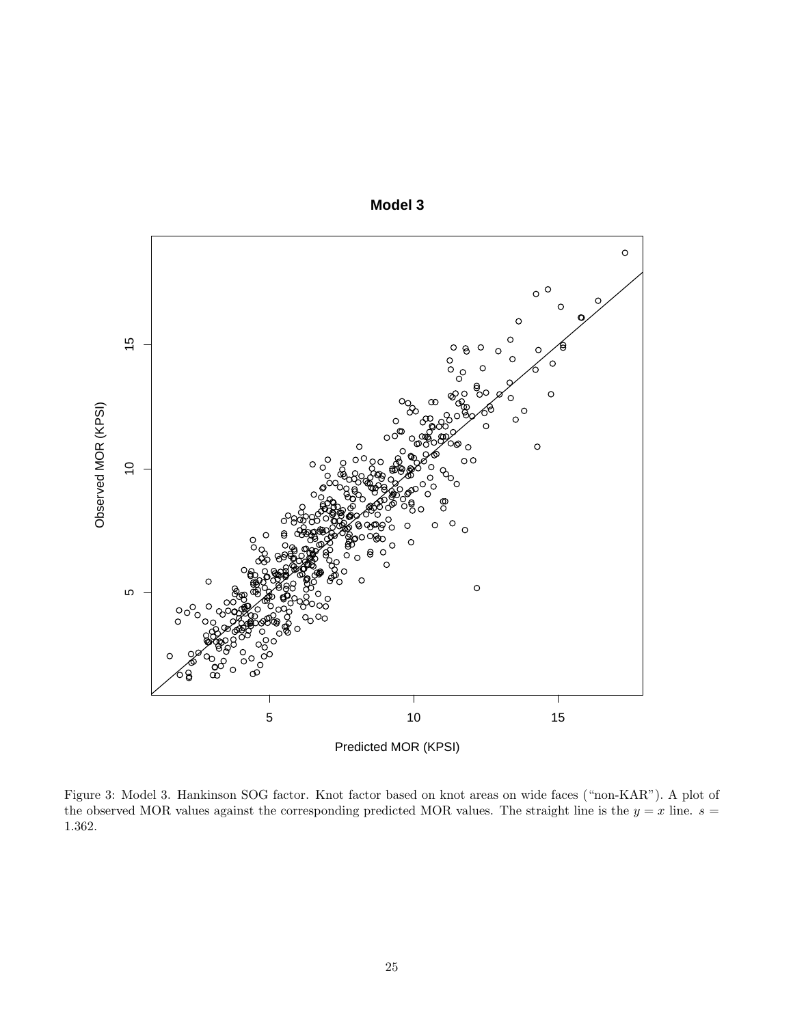

**Model 3**

Figure 3: Model 3. Hankinson SOG factor. Knot factor based on knot areas on wide faces ("non-KAR"). A plot of the observed MOR values against the corresponding predicted MOR values. The straight line is the  $y = x$  line.  $s =$ 1.362.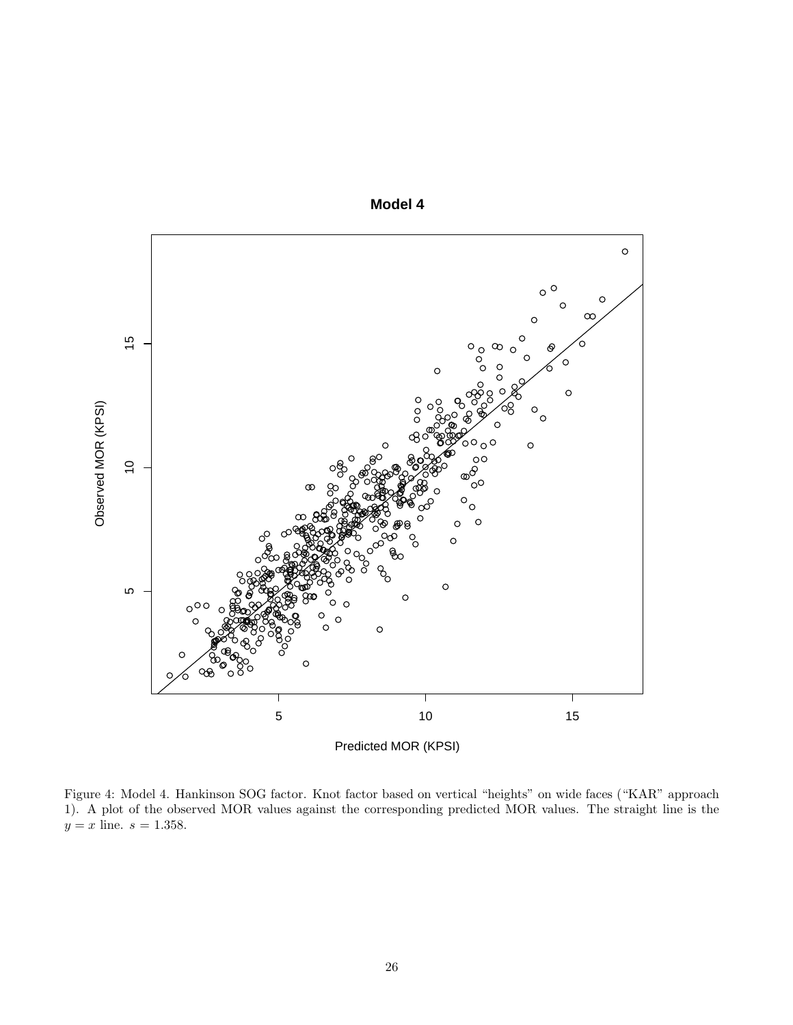

**Model 4**

Figure 4: Model 4. Hankinson SOG factor. Knot factor based on vertical "heights" on wide faces ("KAR" approach 1). A plot of the observed MOR values against the corresponding predicted MOR values. The straight line is the  $y = x$  line.  $s = 1.358$ .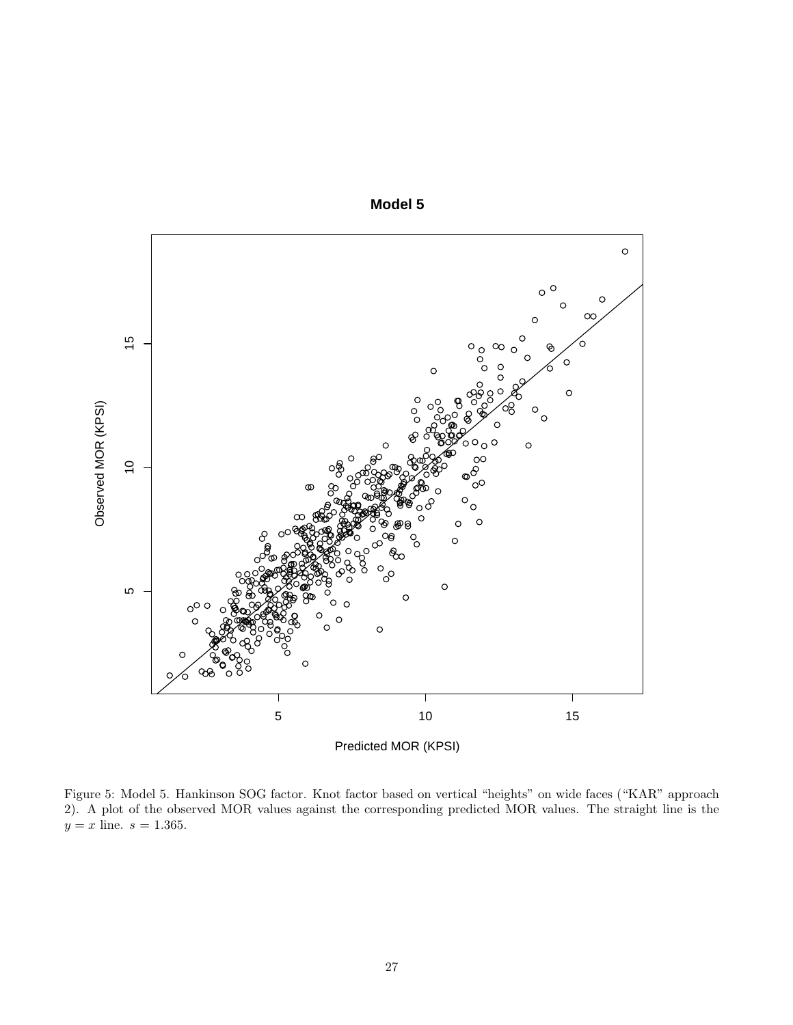

**Model 5**

Figure 5: Model 5. Hankinson SOG factor. Knot factor based on vertical "heights" on wide faces ("KAR" approach 2). A plot of the observed MOR values against the corresponding predicted MOR values. The straight line is the  $y = x$  line.  $s = 1.365$ .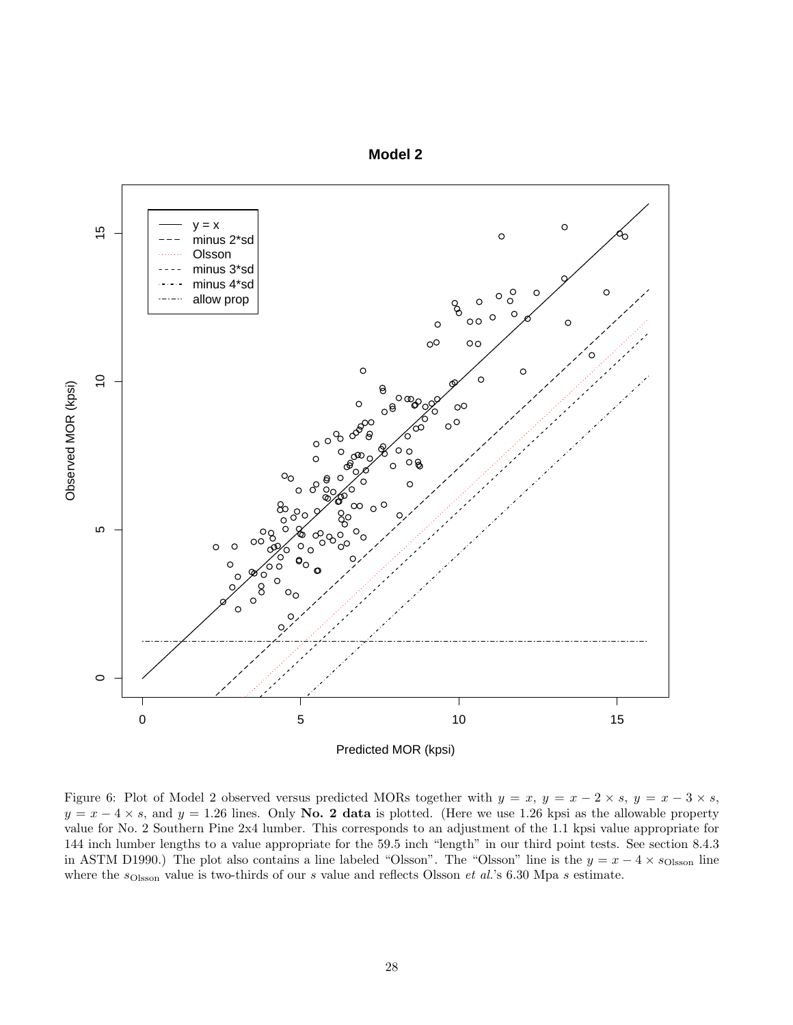



Figure 6: Plot of Model 2 observed versus predicted MORs together with  $y = x$ ,  $y = x - 2 \times s$ ,  $y = x - 3 \times s$ ,  $y = x - 4 \times s$ , and  $y = 1.26$  lines. Only **No. 2 data** is plotted. (Here we use 1.26 kpsi as the allowable property value for No. 2 Southern Pine 2x4 lumber. This corresponds to an adjustment of the 1.1 kpsi value appropriate for 144 inch lumber lengths to a value appropriate for the 59.5 inch "length" in our third point tests. See section 8.4.3 in ASTM D1990.) The plot also contains a line labeled "Olsson". The "Olsson" line is the  $y = x - 4 \times s$ <sub>Olsson</sub> line where the  $s_{\text{Olsson}}$  value is two-thirds of our *s* value and reflects Olsson *et al.*'s 6.30 Mpa *s* estimate.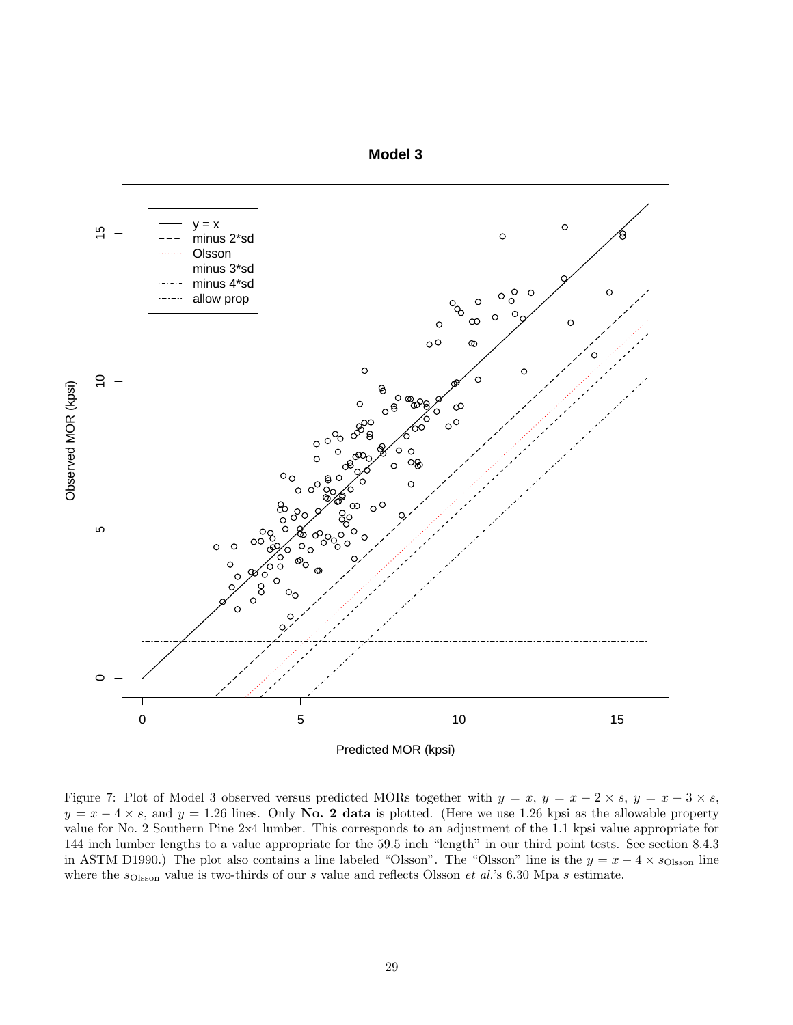



Figure 7: Plot of Model 3 observed versus predicted MORs together with  $y = x$ ,  $y = x - 2 \times s$ ,  $y = x - 3 \times s$ ,  $y = x - 4 \times s$ , and  $y = 1.26$  lines. Only **No. 2 data** is plotted. (Here we use 1.26 kpsi as the allowable property value for No. 2 Southern Pine 2x4 lumber. This corresponds to an adjustment of the 1.1 kpsi value appropriate for 144 inch lumber lengths to a value appropriate for the 59.5 inch "length" in our third point tests. See section 8.4.3 in ASTM D1990.) The plot also contains a line labeled "Olsson". The "Olsson" line is the  $y = x - 4 \times s$ <sub>Olsson</sub> line where the  $s_{\text{Olsson}}$  value is two-thirds of our *s* value and reflects Olsson *et al.*'s 6.30 Mpa *s* estimate.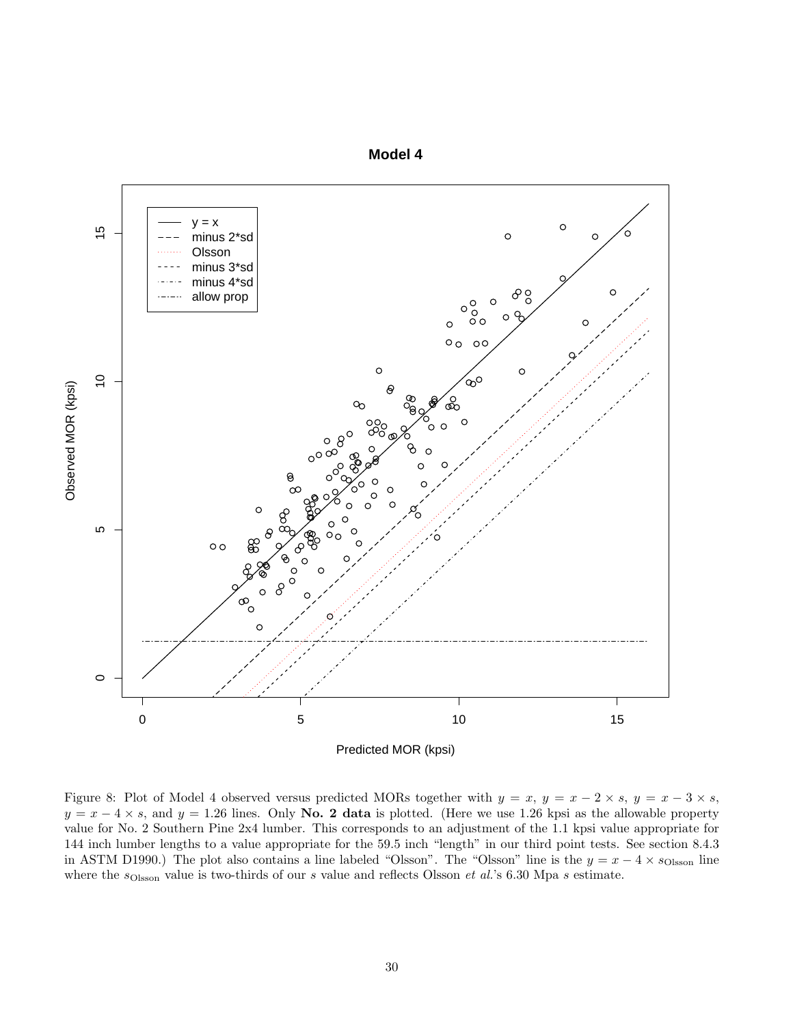



Figure 8: Plot of Model 4 observed versus predicted MORs together with  $y = x$ ,  $y = x - 2 \times s$ ,  $y = x - 3 \times s$ ,  $y = x - 4 \times s$ , and  $y = 1.26$  lines. Only **No. 2 data** is plotted. (Here we use 1.26 kpsi as the allowable property value for No. 2 Southern Pine 2x4 lumber. This corresponds to an adjustment of the 1.1 kpsi value appropriate for 144 inch lumber lengths to a value appropriate for the 59.5 inch "length" in our third point tests. See section 8.4.3 in ASTM D1990.) The plot also contains a line labeled "Olsson". The "Olsson" line is the  $y = x - 4 \times s$ <sub>Olsson</sub> line where the  $s_{\text{Olsson}}$  value is two-thirds of our *s* value and reflects Olsson *et al.*'s 6.30 Mpa *s* estimate.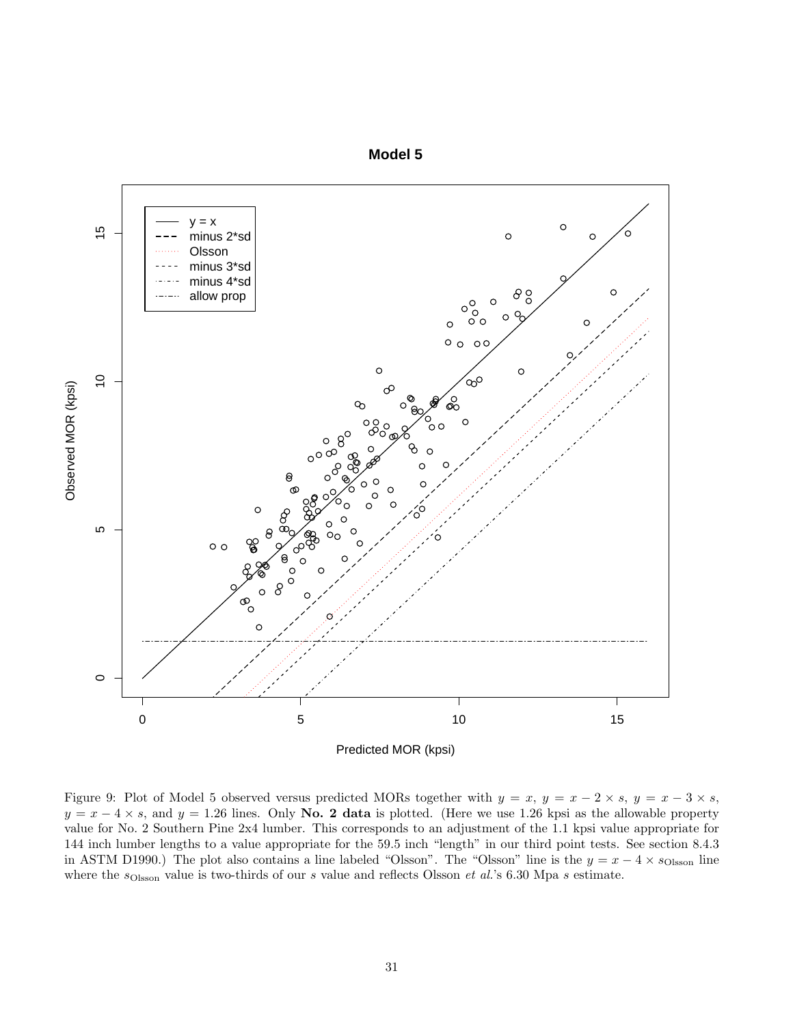



Figure 9: Plot of Model 5 observed versus predicted MORs together with  $y = x$ ,  $y = x - 2 \times s$ ,  $y = x - 3 \times s$ ,  $y = x - 4 \times s$ , and  $y = 1.26$  lines. Only **No. 2 data** is plotted. (Here we use 1.26 kpsi as the allowable property value for No. 2 Southern Pine 2x4 lumber. This corresponds to an adjustment of the 1.1 kpsi value appropriate for 144 inch lumber lengths to a value appropriate for the 59.5 inch "length" in our third point tests. See section 8.4.3 in ASTM D1990.) The plot also contains a line labeled "Olsson". The "Olsson" line is the  $y = x - 4 \times s$ <sub>Olsson</sub> line where the  $s_{\text{Olsson}}$  value is two-thirds of our *s* value and reflects Olsson *et al.*'s 6.30 Mpa *s* estimate.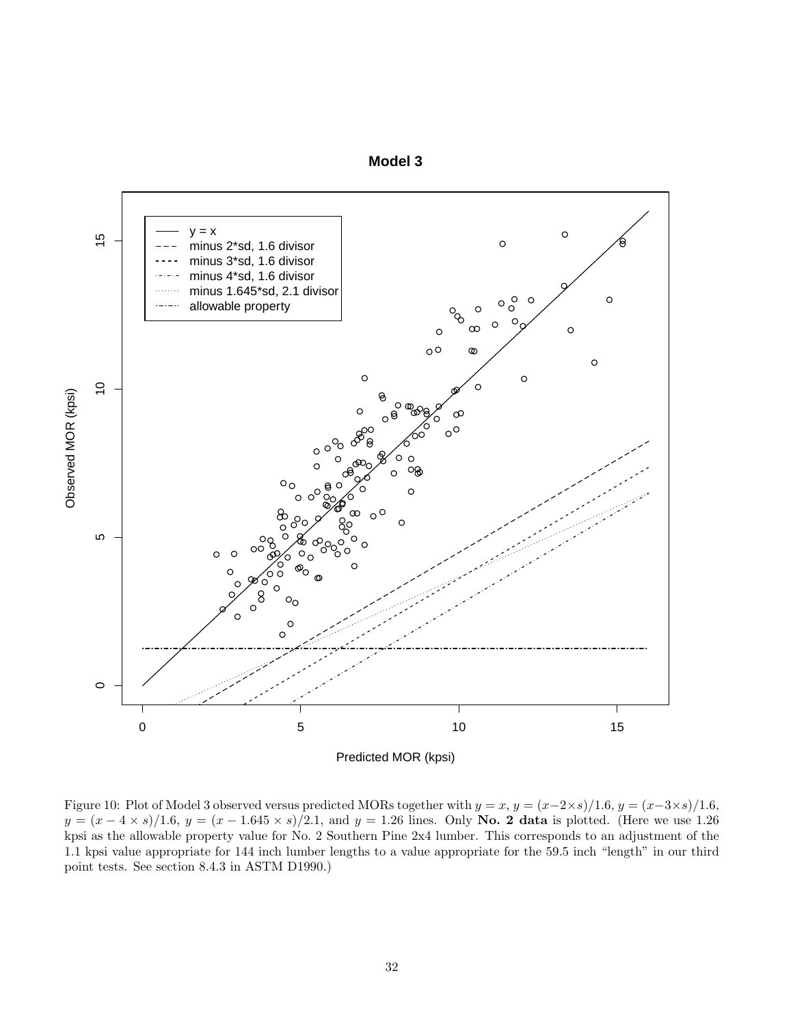



Figure 10: Plot of Model 3 observed versus predicted MORs together with  $y = x$ ,  $y = (x-2\times s)/1.6$ ,  $y = (x-3\times s)/1.6$ ,  $y = (x - 4 \times s)/1.6$ ,  $y = (x - 1.645 \times s)/2.1$ , and  $y = 1.26$  lines. Only **No. 2 data** is plotted. (Here we use 1.26 kpsi as the allowable property value for No. 2 Southern Pine 2x4 lumber. This corresponds to an adjustment of the 1.1 kpsi value appropriate for 144 inch lumber lengths to a value appropriate for the 59.5 inch "length" in our third point tests. See section 8.4.3 in ASTM D1990.)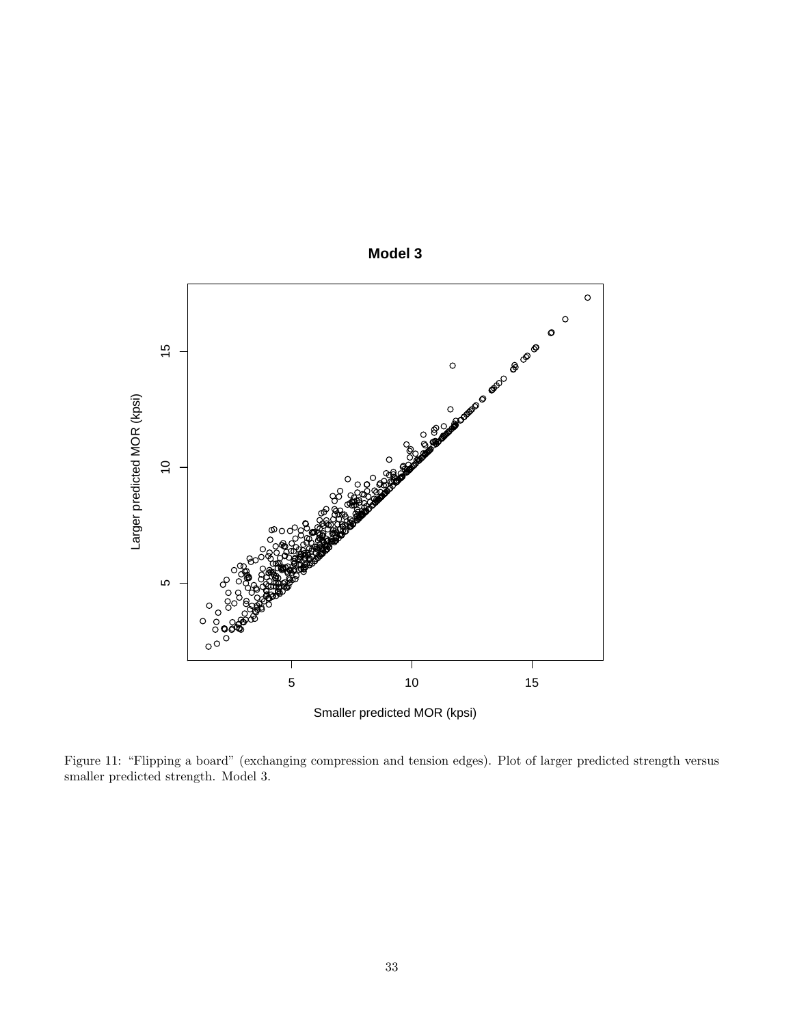

**Model 3**

Figure 11: "Flipping a board" (exchanging compression and tension edges). Plot of larger predicted strength versus smaller predicted strength. Model 3.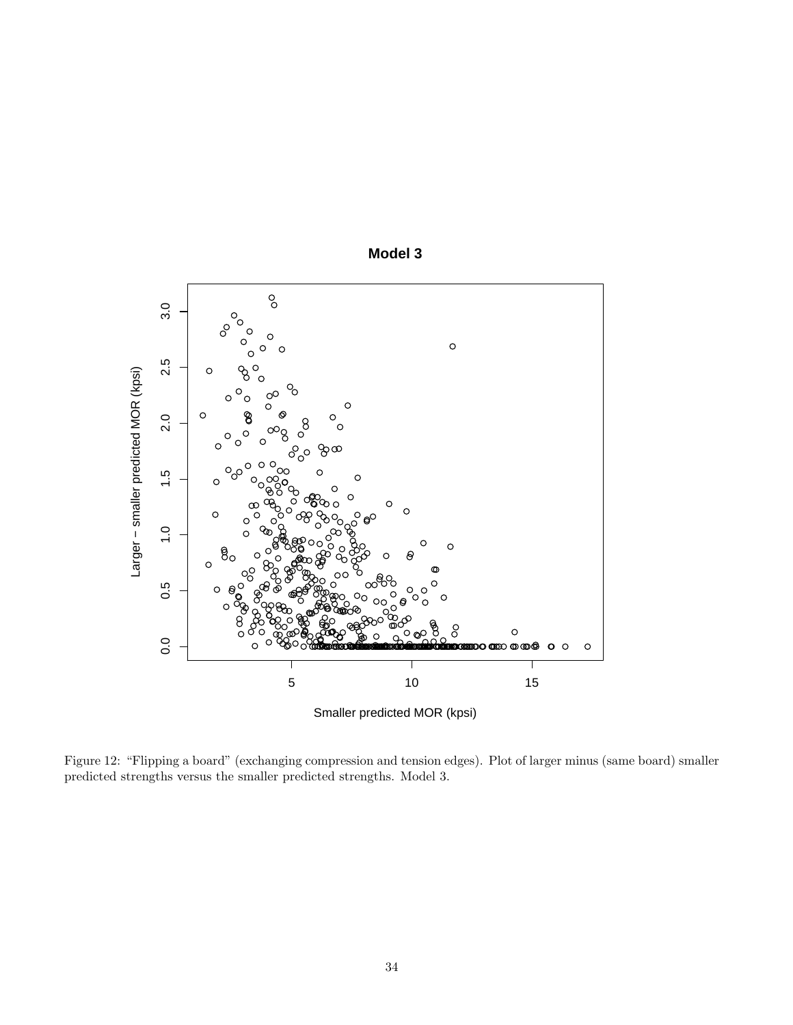

**Model 3**

Figure 12: "Flipping a board" (exchanging compression and tension edges). Plot of larger minus (same board) smaller predicted strengths versus the smaller predicted strengths. Model 3.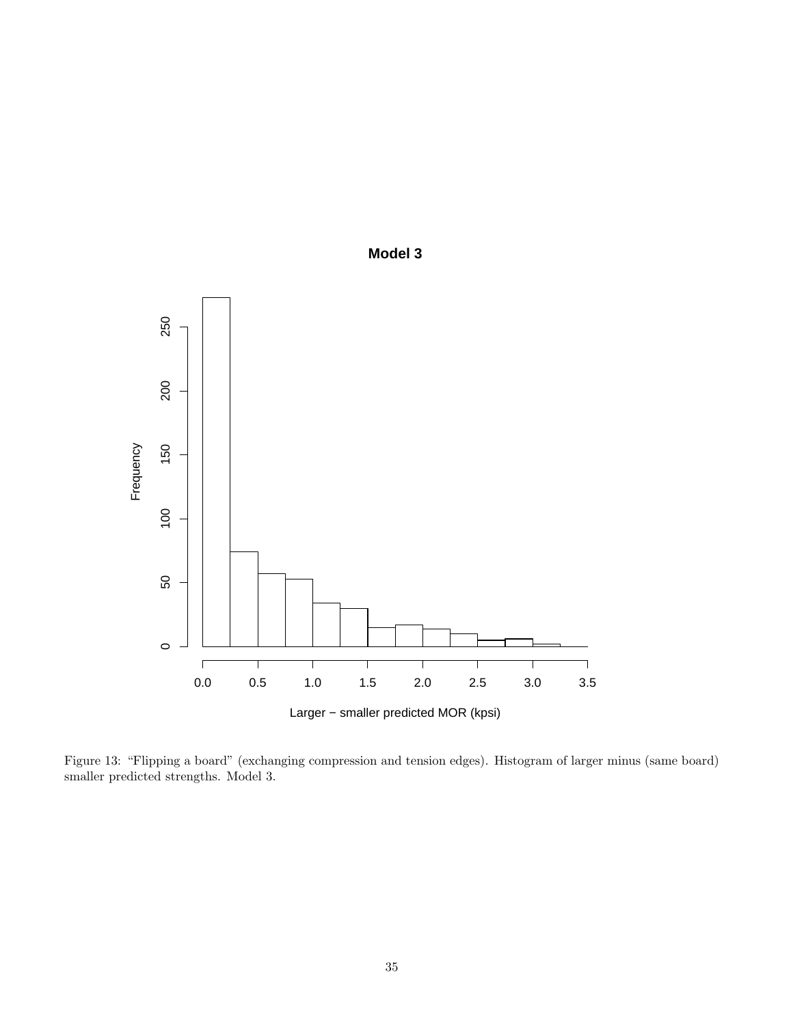

**Model 3**

Figure 13: "Flipping a board" (exchanging compression and tension edges). Histogram of larger minus (same board) smaller predicted strengths. Model 3.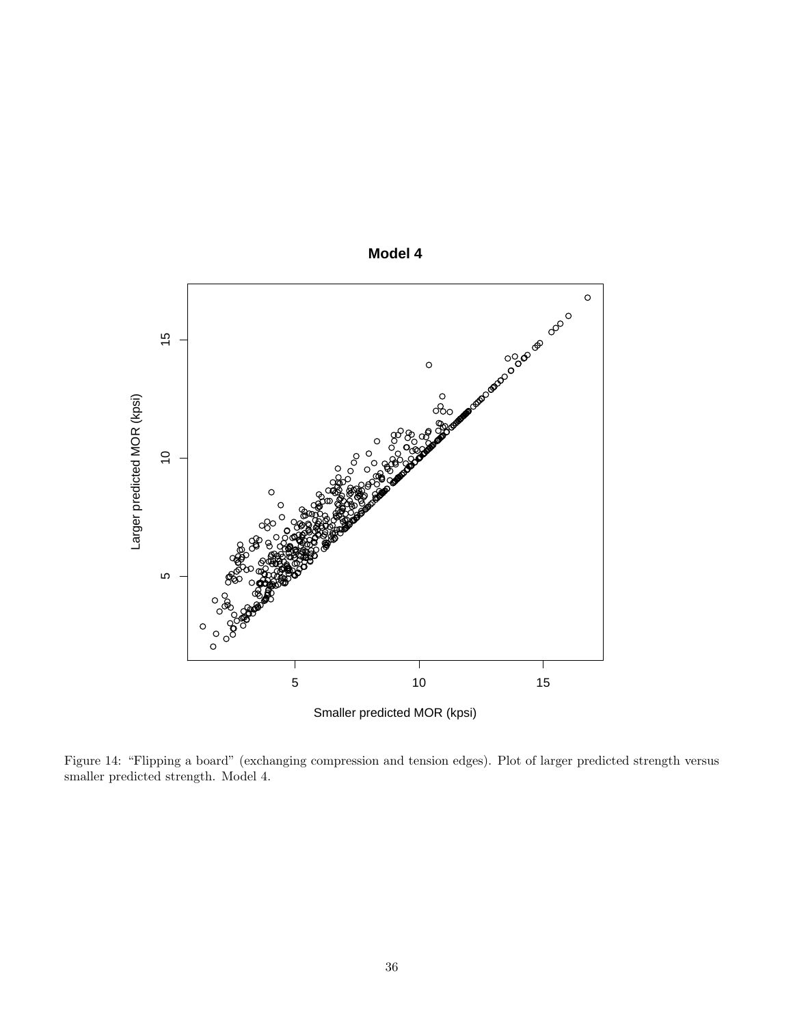

**Model 4**

Figure 14: "Flipping a board" (exchanging compression and tension edges). Plot of larger predicted strength versus smaller predicted strength. Model 4.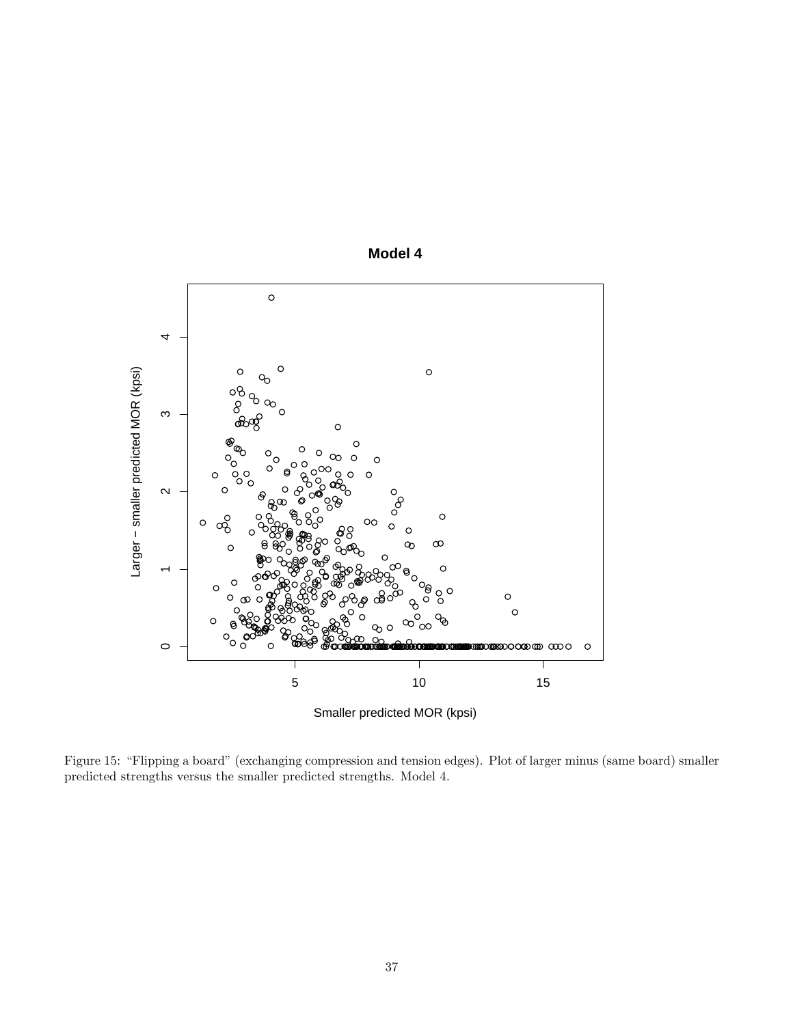

**Model 4**

Figure 15: "Flipping a board" (exchanging compression and tension edges). Plot of larger minus (same board) smaller predicted strengths versus the smaller predicted strengths. Model 4.